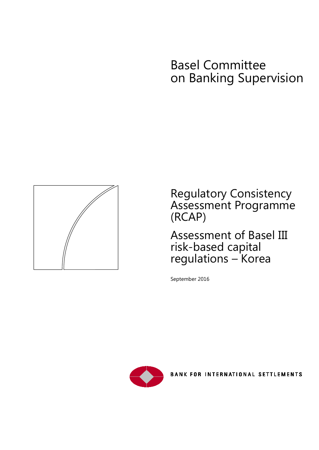# Basel Committee on Banking Supervision



Regulatory Consistency Assessment Programme (RCAP)

Assessment of Basel III risk-based capital regulations – Korea

September 2016



BANK FOR INTERNATIONAL SETTLEMENTS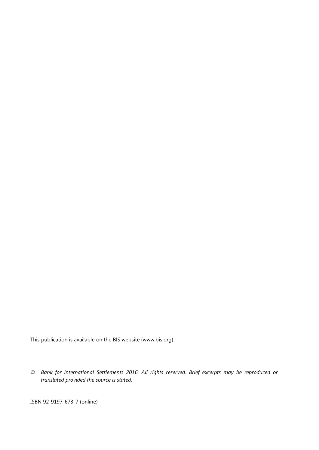This publication is available on the BIS website [\(www.bis.org\)](http://www.bis.org/).

*© Bank for International Settlements 2016. All rights reserved. Brief excerpts may be reproduced or translated provided the source is stated.*

ISBN 92-9197-673-7 (online)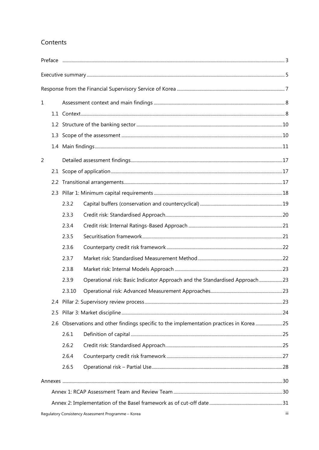## Contents

| $\mathbf 1$ |                                                            |                                                                                          |                                                                            |  |  |
|-------------|------------------------------------------------------------|------------------------------------------------------------------------------------------|----------------------------------------------------------------------------|--|--|
|             |                                                            |                                                                                          |                                                                            |  |  |
|             |                                                            |                                                                                          |                                                                            |  |  |
|             |                                                            |                                                                                          |                                                                            |  |  |
|             |                                                            |                                                                                          |                                                                            |  |  |
| 2           |                                                            |                                                                                          |                                                                            |  |  |
|             |                                                            |                                                                                          |                                                                            |  |  |
|             |                                                            |                                                                                          |                                                                            |  |  |
|             |                                                            |                                                                                          |                                                                            |  |  |
|             |                                                            | 2.3.2                                                                                    |                                                                            |  |  |
|             |                                                            | 2.3.3                                                                                    |                                                                            |  |  |
|             |                                                            | 2.3.4                                                                                    |                                                                            |  |  |
|             |                                                            | 2.3.5                                                                                    |                                                                            |  |  |
|             |                                                            | 2.3.6                                                                                    |                                                                            |  |  |
|             |                                                            | 2.3.7                                                                                    |                                                                            |  |  |
|             |                                                            | 2.3.8                                                                                    |                                                                            |  |  |
|             |                                                            | 2.3.9                                                                                    | Operational risk: Basic Indicator Approach and the Standardised Approach23 |  |  |
|             |                                                            | 2.3.10                                                                                   |                                                                            |  |  |
|             |                                                            |                                                                                          |                                                                            |  |  |
| 2.5         |                                                            |                                                                                          |                                                                            |  |  |
|             |                                                            | 2.6 Observations and other findings specific to the implementation practices in Korea 25 |                                                                            |  |  |
|             |                                                            | 2.6.1                                                                                    |                                                                            |  |  |
|             |                                                            | 2.6.2                                                                                    |                                                                            |  |  |
|             |                                                            | 2.6.4                                                                                    |                                                                            |  |  |
|             |                                                            | 2.6.5                                                                                    |                                                                            |  |  |
|             |                                                            |                                                                                          |                                                                            |  |  |
|             |                                                            |                                                                                          |                                                                            |  |  |
|             |                                                            |                                                                                          |                                                                            |  |  |
|             | Regulatory Consistency Assessment Programme - Korea<br>iii |                                                                                          |                                                                            |  |  |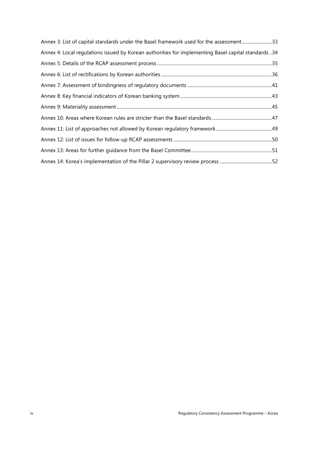| Annex 3: List of capital standards under the Basel framework used for the assessment33              |  |
|-----------------------------------------------------------------------------------------------------|--|
| Annex 4: Local regulations issued by Korean authorities for implementing Basel capital standards 34 |  |
|                                                                                                     |  |
|                                                                                                     |  |
|                                                                                                     |  |
|                                                                                                     |  |
|                                                                                                     |  |
|                                                                                                     |  |
|                                                                                                     |  |
|                                                                                                     |  |
|                                                                                                     |  |
|                                                                                                     |  |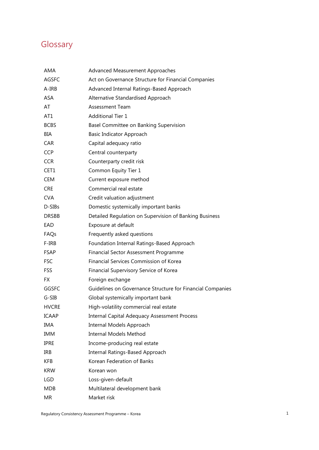## **Glossary**

| AMA          | Advanced Measurement Approaches                            |
|--------------|------------------------------------------------------------|
| <b>AGSFC</b> | Act on Governance Structure for Financial Companies        |
| A-IRB        | Advanced Internal Ratings-Based Approach                   |
| ASA          | Alternative Standardised Approach                          |
| AT           | Assessment Team                                            |
| AT1          | <b>Additional Tier 1</b>                                   |
| <b>BCBS</b>  | Basel Committee on Banking Supervision                     |
| BIA          | Basic Indicator Approach                                   |
| <b>CAR</b>   | Capital adequacy ratio                                     |
| <b>CCP</b>   | Central counterparty                                       |
| <b>CCR</b>   | Counterparty credit risk                                   |
| CET1         | Common Equity Tier 1                                       |
| CEM          | Current exposure method                                    |
| <b>CRE</b>   | Commercial real estate                                     |
| <b>CVA</b>   | Credit valuation adjustment                                |
| D-SIBs       | Domestic systemically important banks                      |
| <b>DRSBB</b> | Detailed Regulation on Supervision of Banking Business     |
| EAD          | Exposure at default                                        |
| FAQs         | Frequently asked questions                                 |
| F-IRB        | Foundation Internal Ratings-Based Approach                 |
| <b>FSAP</b>  | Financial Sector Assessment Programme                      |
| <b>FSC</b>   | Financial Services Commission of Korea                     |
| FSS          | Financial Supervisory Service of Korea                     |
| FX.          | Foreign exchange                                           |
| GGSFC        | Guidelines on Governance Structure for Financial Companies |
| G-SIB        | Global systemically important bank                         |
| <b>HVCRE</b> | High-volatility commercial real estate                     |
| <b>ICAAP</b> | <b>Internal Capital Adequacy Assessment Process</b>        |
| IMA          | Internal Models Approach                                   |
| IMM          | <b>Internal Models Method</b>                              |
| IPRE         | Income-producing real estate                               |
| IRB          | Internal Ratings-Based Approach                            |
| <b>KFB</b>   | Korean Federation of Banks                                 |
| <b>KRW</b>   | Korean won                                                 |
| LGD          | Loss-given-default                                         |
| <b>MDB</b>   | Multilateral development bank                              |
| <b>MR</b>    | Market risk                                                |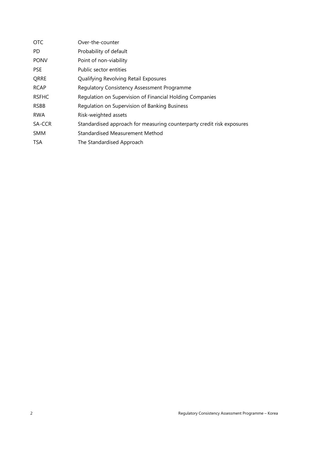| <b>OTC</b>   | Over-the-counter                                                       |
|--------------|------------------------------------------------------------------------|
| PD.          | Probability of default                                                 |
| <b>PONV</b>  | Point of non-viability                                                 |
| <b>PSE</b>   | Public sector entities                                                 |
| QRRE         | Qualifying Revolving Retail Exposures                                  |
| <b>RCAP</b>  | <b>Regulatory Consistency Assessment Programme</b>                     |
| <b>RSFHC</b> | Regulation on Supervision of Financial Holding Companies               |
| <b>RSBB</b>  | Regulation on Supervision of Banking Business                          |
| <b>RWA</b>   | Risk-weighted assets                                                   |
| SA-CCR       | Standardised approach for measuring counterparty credit risk exposures |
| <b>SMM</b>   | Standardised Measurement Method                                        |
| <b>TSA</b>   | The Standardised Approach                                              |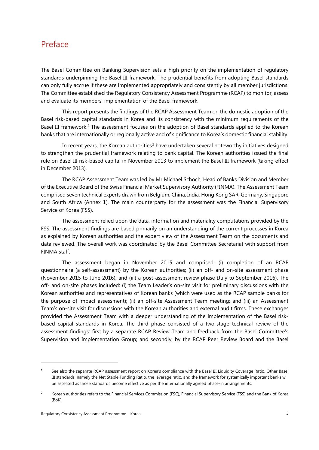## <span id="page-6-0"></span>Preface

The Basel Committee on Banking Supervision sets a high priority on the implementation of regulatory standards underpinning the Basel III framework. The prudential benefits from adopting Basel standards can only fully accrue if these are implemented appropriately and consistently by all member jurisdictions. The Committee established the Regulatory Consistency Assessment Programme (RCAP) to monitor, assess and evaluate its members' implementation of the Basel framework.

This report presents the findings of the RCAP Assessment Team on the domestic adoption of the Basel risk-based capital standards in Korea and its consistency with the minimum requirements of the Basel III framework.<sup>[1](#page-6-1)</sup> The assessment focuses on the adoption of Basel standards applied to the Korean banks that are internationally or regionally active and of significance to Korea's domestic financial stability.

In recent years, the Korean authorities<sup>[2](#page-6-2)</sup> have undertaken several noteworthy initiatives designed to strengthen the prudential framework relating to bank capital. The Korean authorities issued the final rule on Basel III risk-based capital in November 2013 to implement the Basel III framework (taking effect in December 2013).

The RCAP Assessment Team was led by Mr Michael Schoch, Head of Banks Division and Member of the Executive Board of the Swiss Financial Market Supervisory Authority (FINMA). The Assessment Team comprised seven technical experts drawn from Belgium, China, India, Hong Kong SAR, Germany, Singapore and South Africa (Annex 1). The main counterparty for the assessment was the Financial Supervisory Service of Korea (FSS).

The assessment relied upon the data, information and materiality computations provided by the FSS. The assessment findings are based primarily on an understanding of the current processes in Korea as explained by Korean authorities and the expert view of the Assessment Team on the documents and data reviewed. The overall work was coordinated by the Basel Committee Secretariat with support from FINMA staff.

The assessment began in November 2015 and comprised: (i) completion of an RCAP questionnaire (a self-assessment) by the Korean authorities; (ii) an off- and on-site assessment phase (November 2015 to June 2016); and (iii) a post-assessment review phase (July to September 2016). The off- and on-site phases included: (i) the Team Leader's on-site visit for preliminary discussions with the Korean authorities and representatives of Korean banks (which were used as the RCAP sample banks for the purpose of impact assessment); (ii) an off-site Assessment Team meeting; and (iii) an Assessment Team's on-site visit for discussions with the Korean authorities and external audit firms. These exchanges provided the Assessment Team with a deeper understanding of the implementation of the Basel riskbased capital standards in Korea. The third phase consisted of a two-stage technical review of the assessment findings: first by a separate RCAP Review Team and feedback from the Basel Committee's Supervision and Implementation Group; and secondly, by the RCAP Peer Review Board and the Basel

-

<span id="page-6-1"></span><sup>1</sup> See also the separate RCAP assessment report on Korea's compliance with the Basel III Liquidity Coverage Ratio. Other Basel III standards, namely the Net Stable Funding Ratio, the leverage ratio, and the framework for systemically important banks will be assessed as those standards become effective as per the internationally agreed phase-in arrangements.

<span id="page-6-2"></span><sup>2</sup> Korean authorities refers to the Financial Services Commission (FSC), Financial Supervisory Service (FSS) and the Bank of Korea (BoK).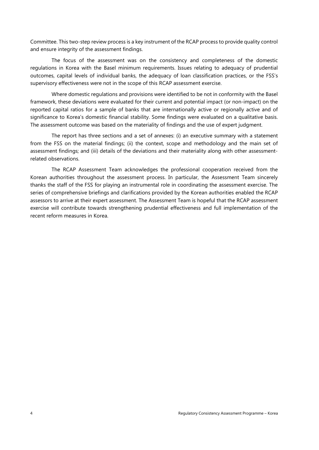Committee. This two-step review process is a key instrument of the RCAP process to provide quality control and ensure integrity of the assessment findings.

The focus of the assessment was on the consistency and completeness of the domestic regulations in Korea with the Basel minimum requirements. Issues relating to adequacy of prudential outcomes, capital levels of individual banks, the adequacy of loan classification practices, or the FSS's supervisory effectiveness were not in the scope of this RCAP assessment exercise.

Where domestic regulations and provisions were identified to be not in conformity with the Basel framework, these deviations were evaluated for their current and potential impact (or non-impact) on the reported capital ratios for a sample of banks that are internationally active or regionally active and of significance to Korea's domestic financial stability. Some findings were evaluated on a qualitative basis. The assessment outcome was based on the materiality of findings and the use of expert judgment.

The report has three sections and a set of annexes: (i) an executive summary with a statement from the FSS on the material findings; (ii) the context, scope and methodology and the main set of assessment findings; and (iii) details of the deviations and their materiality along with other assessmentrelated observations.

The RCAP Assessment Team acknowledges the professional cooperation received from the Korean authorities throughout the assessment process. In particular, the Assessment Team sincerely thanks the staff of the FSS for playing an instrumental role in coordinating the assessment exercise. The series of comprehensive briefings and clarifications provided by the Korean authorities enabled the RCAP assessors to arrive at their expert assessment. The Assessment Team is hopeful that the RCAP assessment exercise will contribute towards strengthening prudential effectiveness and full implementation of the recent reform measures in Korea.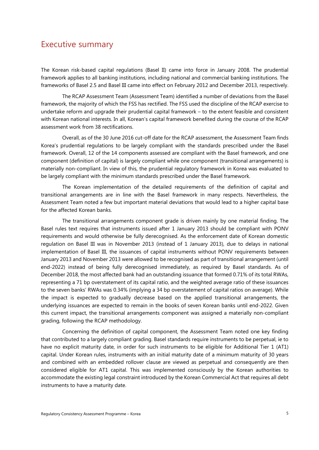## <span id="page-8-0"></span>Executive summary

The Korean risk-based capital regulations (Basel II) came into force in January 2008. The prudential framework applies to all banking institutions, including national and commercial banking institutions. The frameworks of Basel 2.5 and Basel III came into effect on February 2012 and December 2013, respectively.

The RCAP Assessment Team (Assessment Team) identified a number of deviations from the Basel framework, the majority of which the FSS has rectified. The FSS used the discipline of the RCAP exercise to undertake reform and upgrade their prudential capital framework – to the extent feasible and consistent with Korean national interests. In all, Korean's capital framework benefited during the course of the RCAP assessment work from 38 rectifications.

Overall, as of the 30 June 2016 cut-off date for the RCAP assessment, the Assessment Team finds Korea's prudential regulations to be largely compliant with the standards prescribed under the Basel framework. Overall, 12 of the 14 components assessed are compliant with the Basel framework, and one component (definition of capital) is largely compliant while one component (transitional arrangements) is materially non-compliant. In view of this, the prudential regulatory framework in Korea was evaluated to be largely compliant with the minimum standards prescribed under the Basel framework.

The Korean implementation of the detailed requirements of the definition of capital and transitional arrangements are in line with the Basel framework in many respects. Nevertheless, the Assessment Team noted a few but important material deviations that would lead to a higher capital base for the affected Korean banks.

The transitional arrangements component grade is driven mainly by one material finding. The Basel rules text requires that instruments issued after 1 January 2013 should be compliant with PONV requirements and would otherwise be fully derecognised. As the enforcement date of Korean domestic regulation on Basel III was in November 2013 (instead of 1 January 2013), due to delays in national implementation of Basel III, the issuances of capital instruments without PONV requirements between January 2013 and November 2013 were allowed to be recognised as part of transitional arrangement (until end-2022) instead of being fully derecognised immediately, as required by Basel standards. As of December 2018, the most affected bank had an outstanding issuance that formed 0.71% of its total RWAs, representing a 71 bp overstatement of its capital ratio, and the weighted average ratio of these issuances to the seven banks' RWAs was 0.34% (implying a 34 bp overstatement of capital ratios on average). While the impact is expected to gradually decrease based on the applied transitional arrangements, the underlying issuances are expected to remain in the books of seven Korean banks until end-2022. Given this current impact, the transitional arrangements component was assigned a materially non-compliant grading, following the RCAP methodology.

Concerning the definition of capital component, the Assessment Team noted one key finding that contributed to a largely compliant grading. Basel standards require instruments to be perpetual, ie to have no explicit maturity date, in order for such instruments to be eligible for Additional Tier 1 (AT1) capital. Under Korean rules, instruments with an initial maturity date of a minimum maturity of 30 years and combined with an embedded rollover clause are viewed as perpetual and consequently are then considered eligible for AT1 capital. This was implemented consciously by the Korean authorities to accommodate the existing legal constraint introduced by the Korean Commercial Act that requires all debt instruments to have a maturity date.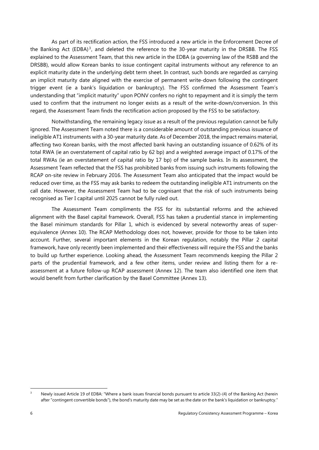As part of its rectification action, the FSS introduced a new article in the Enforcement Decree of the Banking Act (EDBA)<sup>[3](#page-9-0)</sup>, and deleted the reference to the 30-year maturity in the DRSBB. The FSS explained to the Assessment Team, that this new article in the EDBA (a governing law of the RSBB and the DRSBB), would allow Korean banks to issue contingent capital instruments without any reference to an explicit maturity date in the underlying debt term sheet. In contrast, such bonds are regarded as carrying an implicit maturity date aligned with the exercise of permanent write-down following the contingent trigger event (ie a bank's liquidation or bankruptcy). The FSS confirmed the Assessment Team's understanding that "implicit maturity" upon PONV confers no right to repayment and it is simply the term used to confirm that the instrument no longer exists as a result of the write-down/conversion. In this regard, the Assessment Team finds the rectification action proposed by the FSS to be satisfactory.

Notwithstanding, the remaining legacy issue as a result of the previous regulation cannot be fully ignored. The Assessment Team noted there is a considerable amount of outstanding previous issuance of ineligible AT1 instruments with a 30-year maturity date. As of December 2018, the impact remains material, affecting two Korean banks, with the most affected bank having an outstanding issuance of 0.62% of its total RWA (ie an overstatement of capital ratio by 62 bp) and a weighted average impact of 0.17% of the total RWAs (ie an overstatement of capital ratio by 17 bp) of the sample banks. In its assessment, the Assessment Team reflected that the FSS has prohibited banks from issuing such instruments following the RCAP on-site review in February 2016. The Assessment Team also anticipated that the impact would be reduced over time, as the FSS may ask banks to redeem the outstanding ineligible AT1 instruments on the call date. However, the Assessment Team had to be cognisant that the risk of such instruments being recognised as Tier I capital until 2025 cannot be fully ruled out.

The Assessment Team compliments the FSS for its substantial reforms and the achieved alignment with the Basel capital framework. Overall, FSS has taken a prudential stance in implementing the Basel minimum standards for Pillar 1, which is evidenced by several noteworthy areas of superequivalence (Annex 10). The RCAP Methodology does not, however, provide for those to be taken into account. Further, several important elements in the Korean regulation, notably the Pillar 2 capital framework, have only recently been implemented and their effectiveness will require the FSS and the banks to build up further experience. Looking ahead, the Assessment Team recommends keeping the Pillar 2 parts of the prudential framework, and a few other items, under review and listing them for a reassessment at a future follow-up RCAP assessment (Annex 12). The team also identified one item that would benefit from further clarification by the Basel Committee (Annex 13).

<span id="page-9-0"></span> <sup>3</sup> Newly issued Article 19 of EDBA: "Where a bank issues financial bonds pursuant to article 33(2)-(4) of the Banking Act (herein after "contingent convertible bonds"), the bond's maturity date may be set as the date on the bank's liquidation or bankruptcy."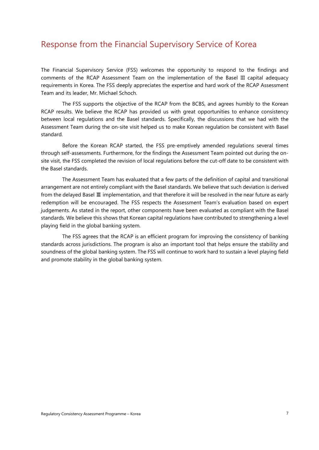## <span id="page-10-0"></span>Response from the Financial Supervisory Service of Korea

The Financial Supervisory Service (FSS) welcomes the opportunity to respond to the findings and comments of the RCAP Assessment Team on the implementation of the Basel III capital adequacy requirements in Korea. The FSS deeply appreciates the expertise and hard work of the RCAP Assessment Team and its leader, Mr. Michael Schoch.

The FSS supports the objective of the RCAP from the BCBS, and agrees humbly to the Korean RCAP results. We believe the RCAP has provided us with great opportunities to enhance consistency between local regulations and the Basel standards. Specifically, the discussions that we had with the Assessment Team during the on-site visit helped us to make Korean regulation be consistent with Basel standard.

Before the Korean RCAP started, the FSS pre-emptively amended regulations several times through self-assessments. Furthermore, for the findings the Assessment Team pointed out during the onsite visit, the FSS completed the revision of local regulations before the cut-off date to be consistent with the Basel standards.

The Assessment Team has evaluated that a few parts of the definition of capital and transitional arrangement are not entirely compliant with the Basel standards. We believe that such deviation is derived from the delayed Basel Ⅲ implementation, and that therefore it will be resolved in the near future as early redemption will be encouraged. The FSS respects the Assessment Team's evaluation based on expert judgements. As stated in the report, other components have been evaluated as compliant with the Basel standards. We believe this shows that Korean capital regulations have contributed to strengthening a level playing field in the global banking system.

The FSS agrees that the RCAP is an efficient program for improving the consistency of banking standards across jurisdictions. The program is also an important tool that helps ensure the stability and soundness of the global banking system. The FSS will continue to work hard to sustain a level playing field and promote stability in the global banking system.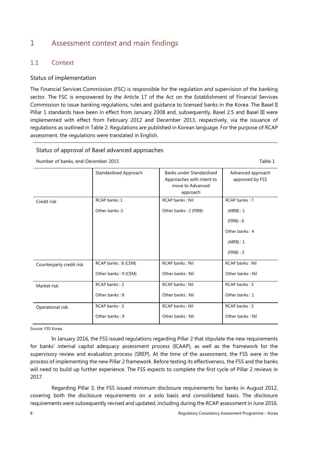## <span id="page-11-0"></span>1 Assessment context and main findings

#### <span id="page-11-1"></span>1.1 Context

#### Status of implementation

The Financial Services Commission (FSC) is responsible for the regulation and supervision of the banking sector. The FSC is empowered by the Article 17 of the Act on the Establishment of Financial Services Commission to issue banking regulations, rules and guidance to licensed banks in the Korea. The Basel II Pillar 1 standards have been in effect from January 2008 and, subsequently, Basel 2.5 and Basel III were implemented with effect from February 2012 and December 2013, respectively, via the issuance of regulations as outlined in Table 2. Regulations are published in Korean language. For the purpose of RCAP assessment, the regulations were translated in English.

#### Status of approval of Basel advanced approaches

Number of banks, end-December 2015 Table 1

|                          | Standardised Approach | <b>Banks under Standardised</b><br>Approaches with intent to<br>move to Advanced<br>approach | Advanced approach<br>approved by FSS |
|--------------------------|-----------------------|----------------------------------------------------------------------------------------------|--------------------------------------|
| Credit risk              | RCAP banks:1          | RCAP banks: Nil                                                                              | RCAP banks: 7                        |
|                          | Other banks: 3        | Other banks: 2 (FIRB)                                                                        | (AIRB): 1                            |
|                          |                       |                                                                                              | (FIRB): 6                            |
|                          |                       |                                                                                              | Other banks: 4                       |
|                          |                       |                                                                                              | (AIRB): 1                            |
|                          |                       |                                                                                              | $(FIRB):$ 3                          |
| Counterparty credit risk | RCAP banks: 8 (CEM)   | RCAP banks: Nil                                                                              | RCAP banks: Nil                      |
|                          | Other banks: 9 (CEM)  | Other banks: Nil                                                                             | Other banks: Nil                     |
| Market risk              | RCAP banks: 3         | RCAP banks: Nil                                                                              | RCAP banks: 5                        |
|                          | Other banks: 8        | Other banks: Nil                                                                             | Other banks: 1                       |
| Operational risk         | RCAP banks: 3         | <b>RCAP banks: Nil</b>                                                                       | RCAP banks: 5                        |
|                          | Other banks: 9        | Other banks: Nil                                                                             | Other banks: Nil                     |

Source: FSS Korea.

In January 2016, the FSS issued regulations regarding Pillar 2 that stipulate the new requirements for banks' internal capital adequacy assessment process (ICAAP), as well as the framework for the supervisory review and evaluation process (SREP). At the time of the assessment, the FSS were in the process of implementing the new Pillar 2 framework. Before testing its effectiveness, the FSS and the banks will need to build up further experience. The FSS expects to complete the first cycle of Pillar 2 reviews in 2017.

Regarding Pillar 3, the FSS issued minimum disclosure requirements for banks in August 2012, covering both the disclosure requirements on a solo basis and consolidated basis. The disclosure requirements were subsequently revised and updated, including during the RCAP assessment in June 2016.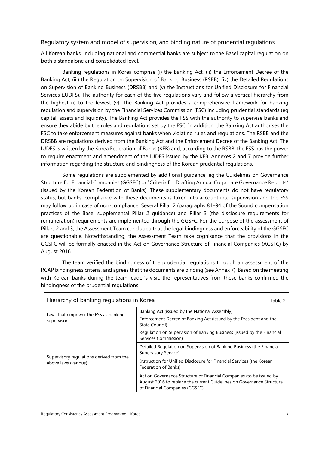#### Regulatory system and model of supervision, and binding nature of prudential regulations

All Korean banks, including national and commercial banks are subject to the Basel capital regulation on both a standalone and consolidated level.

Banking regulations in Korea comprise (i) the Banking Act, (ii) the Enforcement Decree of the Banking Act, (iii) the Regulation on Supervision of Banking Business (RSBB), (iv) the Detailed Regulations on Supervision of Banking Business (DRSBB) and (v) the Instructions for Unified Disclosure for Financial Services (IUDFS). The authority for each of the five regulations vary and follow a vertical hierarchy from the highest (i) to the lowest (v). The Banking Act provides a comprehensive framework for banking regulation and supervision by the Financial Services Commission (FSC) including prudential standards (eg capital, assets and liquidity). The Banking Act provides the FSS with the authority to supervise banks and ensure they abide by the rules and regulations set by the FSC. In addition, the Banking Act authorises the FSC to take enforcement measures against banks when violating rules and regulations. The RSBB and the DRSBB are regulations derived from the Banking Act and the Enforcement Decree of the Banking Act. The IUDFS is written by the Korea Federation of Banks (KFB) and, according to the RSBB, the FSS has the power to require enactment and amendment of the IUDFS issued by the KFB. Annexes 2 and 7 provide further information regarding the structure and bindingness of the Korean prudential regulations.

Some regulations are supplemented by additional guidance, eg the Guidelines on Governance Structure for Financial Companies (GGSFC) or "Criteria for Drafting Annual Corporate Governance Reports" (issued by the Korean Federation of Banks). These supplementary documents do not have regulatory status, but banks' compliance with these documents is taken into account into supervision and the FSS may follow up in case of non-compliance. Several Pillar 2 (paragraphs 84–94 of the Sound compensation practices of the Basel supplemental Pillar 2 guidance) and Pillar 3 (the disclosure requirements for remuneration) requirements are implemented through the GGSFC. For the purpose of the assessment of Pillars 2 and 3, the Assessment Team concluded that the legal bindingness and enforceability of the GGSFC are questionable. Notwithstanding, the Assessment Team take cognisance that the provisions in the GGSFC will be formally enacted in the Act on Governance Structure of Financial Companies (AGSFC) by August 2016.

The team verified the bindingness of the prudential regulations through an assessment of the RCAP bindingness criteria, and agrees that the documents are binding (see Annex 7). Based on the meeting with Korean banks during the team leader's visit, the representatives from these banks confirmed the bindingness of the prudential regulations.

| Banking Act (issued by the National Assembly)<br>Laws that empower the FSS as banking<br>Enforcement Decree of Banking Act (issued by the President and the<br>supervisor<br>State Council)<br>Regulation on Supervision of Banking Business (issued by the Financial<br>Services Commission)<br>Detailed Regulation on Supervision of Banking Business (the Financial<br>Supervisory Service)<br>Supervisory regulations derived from the<br>Instruction for Unified Disclosure for Financial Services (the Korean<br>above laws (various)<br>Federation of Banks)<br>Act on Governance Structure of Financial Companies (to be issued by | Hierarchy of banking regulations in Korea<br>Table 2 |  |  |
|--------------------------------------------------------------------------------------------------------------------------------------------------------------------------------------------------------------------------------------------------------------------------------------------------------------------------------------------------------------------------------------------------------------------------------------------------------------------------------------------------------------------------------------------------------------------------------------------------------------------------------------------|------------------------------------------------------|--|--|
|                                                                                                                                                                                                                                                                                                                                                                                                                                                                                                                                                                                                                                            |                                                      |  |  |
|                                                                                                                                                                                                                                                                                                                                                                                                                                                                                                                                                                                                                                            |                                                      |  |  |
|                                                                                                                                                                                                                                                                                                                                                                                                                                                                                                                                                                                                                                            |                                                      |  |  |
|                                                                                                                                                                                                                                                                                                                                                                                                                                                                                                                                                                                                                                            |                                                      |  |  |
|                                                                                                                                                                                                                                                                                                                                                                                                                                                                                                                                                                                                                                            |                                                      |  |  |
| August 2016 to replace the current Guidelines on Governance Structure<br>of Financial Companies (GGSFC)                                                                                                                                                                                                                                                                                                                                                                                                                                                                                                                                    |                                                      |  |  |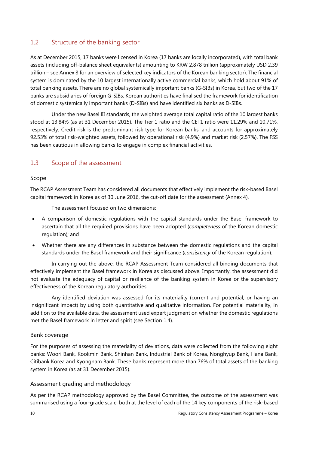#### <span id="page-13-0"></span>1.2 Structure of the banking sector

As at December 2015, 17 banks were licensed in Korea (17 banks are locally incorporated), with total bank assets (including off-balance sheet equivalents) amounting to KRW 2,878 trillion (approximately USD 2.39 trillion – see Annex 8 for an overview of selected key indicators of the Korean banking sector). The financial system is dominated by the 10 largest internationally active commercial banks, which hold about 91% of total banking assets. There are no global systemically important banks (G-SIBs) in Korea, but two of the 17 banks are subsidiaries of foreign G-SIBs. Korean authorities have finalised the framework for identification of domestic systemically important banks (D-SIBs) and have identified six banks as D-SIBs.

Under the new Basel III standards, the weighted average total capital ratio of the 10 largest banks stood at 13.84% (as at 31 December 2015). The Tier 1 ratio and the CET1 ratio were 11.29% and 10.71%, respectively. Credit risk is the predominant risk type for Korean banks, and accounts for approximately 92.53% of total risk-weighted assets, followed by operational risk (4.9%) and market risk (2.57%). The FSS has been cautious in allowing banks to engage in complex financial activities.

#### <span id="page-13-1"></span>1.3 Scope of the assessment

#### Scope

The RCAP Assessment Team has considered all documents that effectively implement the risk-based Basel capital framework in Korea as of 30 June 2016, the cut-off date for the assessment (Annex 4).

The assessment focused on two dimensions:

- A comparison of domestic regulations with the capital standards under the Basel framework to ascertain that all the required provisions have been adopted (*completeness* of the Korean domestic regulation); and
- Whether there are any differences in substance between the domestic regulations and the capital standards under the Basel framework and their significance (*consistency* of the Korean regulation).

In carrying out the above, the RCAP Assessment Team considered all binding documents that effectively implement the Basel framework in Korea as discussed above. Importantly, the assessment did not evaluate the adequacy of capital or resilience of the banking system in Korea or the supervisory effectiveness of the Korean regulatory authorities.

Any identified deviation was assessed for its materiality (current and potential, or having an insignificant impact) by using both quantitative and qualitative information. For potential materiality, in addition to the available data, the assessment used expert judgment on whether the domestic regulations met the Basel framework in letter and spirit (see Section 1.4).

#### Bank coverage

For the purposes of assessing the materiality of deviations, data were collected from the following eight banks: Woori Bank, Kookmin Bank, Shinhan Bank, Industrial Bank of Korea, Nonghyup Bank, Hana Bank, Citibank Korea and Kyongnam Bank. These banks represent more than 76% of total assets of the banking system in Korea (as at 31 December 2015).

#### Assessment grading and methodology

As per the RCAP methodology approved by the Basel Committee, the outcome of the assessment was summarised using a four-grade scale, both at the level of each of the 14 key components of the risk-based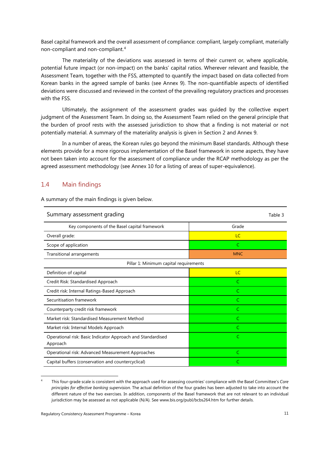Basel capital framework and the overall assessment of compliance: compliant, largely compliant, materially non-compliant and non-compliant.[4](#page-14-1)

The materiality of the deviations was assessed in terms of their current or, where applicable, potential future impact (or non-impact) on the banks' capital ratios. Wherever relevant and feasible, the Assessment Team, together with the FSS, attempted to quantify the impact based on data collected from Korean banks in the agreed sample of banks (see Annex 9). The non-quantifiable aspects of identified deviations were discussed and reviewed in the context of the prevailing regulatory practices and processes with the FSS.

Ultimately, the assignment of the assessment grades was guided by the collective expert judgment of the Assessment Team. In doing so, the Assessment Team relied on the general principle that the burden of proof rests with the assessed jurisdiction to show that a finding is not material or not potentially material. A summary of the materiality analysis is given in Section 2 and Annex 9.

In a number of areas, the Korean rules go beyond the minimum Basel standards. Although these elements provide for a more rigorous implementation of the Basel framework in some aspects, they have not been taken into account for the assessment of compliance under the RCAP methodology as per the agreed assessment methodology (see Annex 10 for a listing of areas of super-equivalence).

#### <span id="page-14-0"></span>1.4 Main findings

| Summary assessment grading                                              | Table 3    |  |
|-------------------------------------------------------------------------|------------|--|
| Key components of the Basel capital framework                           | Grade      |  |
| Overall grade:                                                          | LC         |  |
| Scope of application                                                    | C          |  |
| Transitional arrangements                                               | <b>MNC</b> |  |
| Pillar 1: Minimum capital requirements                                  |            |  |
| Definition of capital                                                   | LC         |  |
| Credit Risk: Standardised Approach                                      | C          |  |
| Credit risk: Internal Ratings-Based Approach                            | C          |  |
| Securitisation framework                                                | C          |  |
| Counterparty credit risk framework                                      | C          |  |
| Market risk: Standardised Measurement Method                            | C          |  |
| Market risk: Internal Models Approach                                   | C          |  |
| Operational risk: Basic Indicator Approach and Standardised<br>Approach | C          |  |
| Operational risk: Advanced Measurement Approaches                       | C          |  |
| Capital buffers (conservation and countercyclical)                      | C          |  |

A summary of the main findings is given below.

<span id="page-14-1"></span> <sup>4</sup> This four-grade scale is consistent with the approach used for assessing countries' compliance with the Basel Committee's *Core principles for effective banking supervision*. The actual definition of the four grades has been adjusted to take into account the different nature of the two exercises. In addition, components of the Basel framework that are not relevant to an individual jurisdiction may be assessed as not applicable (N/A). See [www.bis.org/publ/bcbs264.htm](http://www.bis.org/publ/bcbs264.htm) for further details.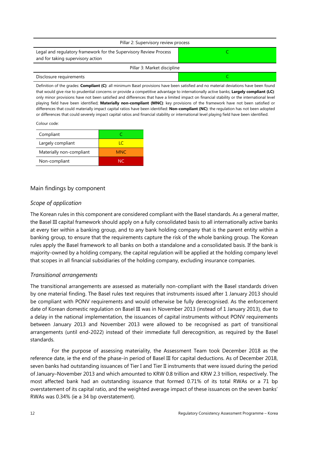| Pillar 2: Supervisory review process                                                                   |  |  |
|--------------------------------------------------------------------------------------------------------|--|--|
| Legal and regulatory framework for the Supervisory Review Process<br>and for taking supervisory action |  |  |
| Pillar 3: Market discipline                                                                            |  |  |
| Disclosure requirements                                                                                |  |  |

Definition of the grades: **Compliant (C)**: all minimum Basel provisions have been satisfied and no material deviations have been found that would give rise to prudential concerns or provide a competitive advantage to internationally active banks; **Largely compliant (LC)**: only minor provisions have not been satisfied and differences that have a limited impact on financial stability or the international level playing field have been identified; **Materially non-compliant (MNC)**: key provisions of the framework have not been satisfied or differences that could materially impact capital ratios have been identified: **Non-compliant (NC)**: the regulation has not been adopted or differences that could severely impact capital ratios and financial stability or international level playing field have been identified.

#### Colour code:

| Compliant                |            |
|--------------------------|------------|
| Largely compliant        | IС         |
| Materially non-compliant | <b>MNC</b> |
| Non-compliant            | NC.        |

#### Main findings by component

#### *Scope of application*

The Korean rules in this component are considered compliant with the Basel standards. As a general matter, the Basel III capital framework should apply on a fully consolidated basis to all internationally active banks at every tier within a banking group, and to any bank holding company that is the parent entity within a banking group, to ensure that the requirements capture the risk of the whole banking group. The Korean rules apply the Basel framework to all banks on both a standalone and a consolidated basis. If the bank is majority-owned by a holding company, the capital regulation will be applied at the holding company level that scopes in all financial subsidiaries of the holding company, excluding insurance companies.

#### *Transitional arrangements*

The transitional arrangements are assessed as materially non-compliant with the Basel standards driven by one material finding. The Basel rules text requires that instruments issued after 1 January 2013 should be compliant with PONV requirements and would otherwise be fully derecognised. As the enforcement date of Korean domestic regulation on Basel III was in November 2013 (instead of 1 January 2013), due to a delay in the national implementation, the issuances of capital instruments without PONV requirements between January 2013 and November 2013 were allowed to be recognised as part of transitional arrangements (until end-2022) instead of their immediate full derecognition, as required by the Basel standards.

For the purpose of assessing materiality, the Assessment Team took December 2018 as the reference date, ie the end of the phase-in period of Basel III for capital deductions. As of December 2018, seven banks had outstanding issuances of Tier I and Tier II instruments that were issued during the period of January–November 2013 and which amounted to KRW 0.8 trillion and KRW 2.3 trillion, respectively. The most affected bank had an outstanding issuance that formed 0.71% of its total RWAs or a 71 bp overstatement of its capital ratio, and the weighted average impact of these issuances on the seven banks' RWAs was 0.34% (ie a 34 bp overstatement).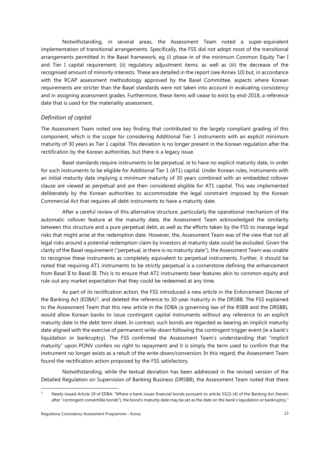Notwithstanding, in several areas, the Assessment Team noted a super-equivalent implementation of transitional arrangements. Specifically, the FSS did not adopt most of the transitional arrangements permitted in the Basel framework, eg (i) phase-in of the minimum Common Equity Tier I and Tier I capital requirement; (ii) regulatory adjustment items; as well as (iii) the decrease of the recognised amount of minority interests. These are detailed in the report (see Annex 10) but, in accordance with the RCAP assessment methodology approved by the Basel Committee, aspects where Korean requirements are stricter than the Basel standards were not taken into account in evaluating consistency and in assigning assessment grades. Furthermore, these items will cease to exist by end-2018, a reference date that is used for the materiality assessment.

#### *Definition of capital*

The Assessment Team noted one key finding that contributed to the largely compliant grading of this component, which is the scope for considering Additional Tier 1 instruments with an explicit minimum maturity of 30 years as Tier 1 capital. This deviation is no longer present in the Korean regulation after the rectification by the Korean authorities, but there is a legacy issue.

Basel standards require instruments to be perpetual, ie to have no explicit maturity date, in order for such instruments to be eligible for Additional Tier 1 (AT1) capital. Under Korean rules, instruments with an initial maturity date implying a minimum maturity of 30 years combined with an embedded rollover clause are viewed as perpetual and are then considered eligible for AT1 capital. This was implemented deliberately by the Korean authorities to accommodate the legal constraint imposed by the Korean Commercial Act that requires all debt instruments to have a maturity date.

After a careful review of this alternative structure, particularly the operational mechanism of the automatic rollover feature at the maturity date, the Assessment Team acknowledged the similarity between this structure and a pure perpetual debt, as well as the efforts taken by the FSS to manage legal risks that might arise at the redemption date. However, the, Assessment Team was of the view that not all legal risks around a potential redemption claim by investors at maturity date could be excluded. Given the clarity of the Basel requirement ("perpetual, ie there is no maturity date"), the Assessment Team was unable to recognise these instruments as completely equivalent to perpetual instruments. Further, it should be noted that requiring AT1 instruments to be strictly perpetual is a cornerstone defining the enhancement from Basel II to Basel III. This is to ensure that AT1 instruments bear features akin to common equity and rule out any market expectation that they could be redeemed at any time.

As part of its rectification action, the FSS introduced a new article in the Enforcement Decree of the Banking Act (EDBA)<sup>[5](#page-16-0)</sup>, and deleted the reference to 30-year maturity in the DRSBB. The FSS explained to the Assessment Team that this new article in the EDBA (a governing law of the RSBB and the DRSBB), would allow Korean banks to issue contingent capital instruments without any reference to an explicit maturity date in the debt term sheet. In contrast, such bonds are regarded as bearing an implicit maturity date aligned with the exercise of permanent write-down following the contingent trigger event (ie a bank's liquidation or bankruptcy). The FSS confirmed the Assessment Team's understanding that "implicit maturity" upon PONV confers no right to repayment and it is simply the term used to confirm that the instrument no longer exists as a result of the write-down/conversion. In this regard, the Assessment Team found the rectification action proposed by the FSS satisfactory.

Notwithstanding, while the textual deviation has been addressed in the revised version of the Detailed Regulation on Supervision of Banking Business (DRSBB), the Assessment Team noted that there

<span id="page-16-0"></span>Newly issued Article 19 of EDBA: "Where a bank issues financial bonds pursuant to article 33(2)-(4) of the Banking Act (herein after "contingent convertible bonds"), the bond's maturity date may be set as the date on the bank's liquidation or bankruptcy."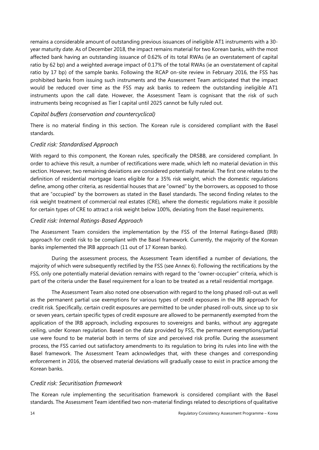remains a considerable amount of outstanding previous issuances of ineligible AT1 instruments with a 30 year maturity date. As of December 2018, the impact remains material for two Korean banks, with the most affected bank having an outstanding issuance of 0.62% of its total RWAs (ie an overstatement of capital ratio by 62 bp) and a weighted average impact of 0.17% of the total RWAs (ie an overstatement of capital ratio by 17 bp) of the sample banks. Following the RCAP on-site review in February 2016, the FSS has prohibited banks from issuing such instruments and the Assessment Team anticipated that the impact would be reduced over time as the FSS may ask banks to redeem the outstanding ineligible AT1 instruments upon the call date. However, the Assessment Team is cognisant that the risk of such instruments being recognised as Tier I capital until 2025 cannot be fully ruled out.

#### *Capital buffers (conservation and countercyclical)*

There is no material finding in this section. The Korean rule is considered compliant with the Basel standards.

#### *Credit risk: Standardised Approach*

With regard to this component, the Korean rules, specifically the DRSBB, are considered compliant. In order to achieve this result, a number of rectifications were made, which left no material deviation in this section. However, two remaining deviations are considered potentially material. The first one relates to the definition of residential mortgage loans eligible for a 35% risk weight, which the domestic regulations define, among other criteria, as residential houses that are "owned" by the borrowers, as opposed to those that are "occupied" by the borrowers as stated in the Basel standards. The second finding relates to the risk weight treatment of commercial real estates (CRE), where the domestic regulations make it possible for certain types of CRE to attract a risk weight below 100%, deviating from the Basel requirements.

#### *Credit risk: Internal Ratings-Based Approach*

The Assessment Team considers the implementation by the FSS of the Internal Ratings-Based (IRB) approach for credit risk to be compliant with the Basel framework. Currently, the majority of the Korean banks implemented the IRB approach (11 out of 17 Korean banks).

During the assessment process, the Assessment Team identified a number of deviations, the majority of which were subsequently rectified by the FSS (see Annex 6). Following the rectifications by the FSS, only one potentially material deviation remains with regard to the "owner-occupier" criteria, which is part of the criteria under the Basel requirement for a loan to be treated as a retail residential mortgage.

The Assessment Team also noted one observation with regard to the long phased roll-out as well as the permanent partial use exemptions for various types of credit exposures in the IRB approach for credit risk. Specifically, certain credit exposures are permitted to be under phased roll-outs, since up to six or seven years, certain specific types of credit exposure are allowed to be permanently exempted from the application of the IRB approach, including exposures to sovereigns and banks, without any aggregate ceiling, under Korean regulation. Based on the data provided by FSS, the permanent exemptions/partial use were found to be material both in terms of size and perceived risk profile. During the assessment process, the FSS carried out satisfactory amendments to its regulation to bring its rules into line with the Basel framework. The Assessment Team acknowledges that, with these changes and corresponding enforcement in 2016, the observed material deviations will gradually cease to exist in practice among the Korean banks.

#### *Credit risk: Securitisation framework*

The Korean rule implementing the securitisation framework is considered compliant with the Basel standards. The Assessment Team identified two non-material findings related to descriptions of qualitative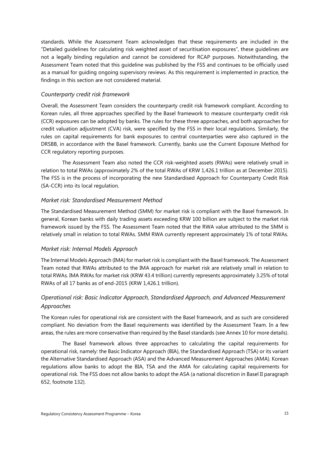standards. While the Assessment Team acknowledges that these requirements are included in the "Detailed guidelines for calculating risk weighted asset of securitisation exposures", these guidelines are not a legally binding regulation and cannot be considered for RCAP purposes. Notwithstanding, the Assessment Team noted that this guideline was published by the FSS and continues to be officially used as a manual for guiding ongoing supervisory reviews. As this requirement is implemented in practice, the findings in this section are not considered material.

#### *Counterparty credit risk framework*

Overall, the Assessment Team considers the counterparty credit risk framework compliant. According to Korean rules, all three approaches specified by the Basel framework to measure counterparty credit risk (CCR) exposures can be adopted by banks. The rules for these three approaches, and both approaches for credit valuation adjustment (CVA) risk, were specified by the FSS in their local regulations. Similarly, the rules on capital requirements for bank exposures to central counterparties were also captured in the DRSBB, in accordance with the Basel framework. Currently, banks use the Current Exposure Method for CCR regulatory reporting purposes.

The Assessment Team also noted the CCR risk-weighted assets (RWAs) were relatively small in relation to total RWAs (approximately 2% of the total RWAs of KRW 1,426.1 trillion as at December 2015). The FSS is in the process of incorporating the new Standardised Approach for Counterparty Credit Risk (SA-CCR) into its local regulation.

#### *Market risk: Standardised Measurement Method*

The Standardised Measurement Method (SMM) for market risk is compliant with the Basel framework. In general, Korean banks with daily trading assets exceeding KRW 100 billion are subject to the market risk framework issued by the FSS. The Assessment Team noted that the RWA value attributed to the SMM is relatively small in relation to total RWAs. SMM RWA currently represent approximately 1% of total RWAs.

#### *Market risk: Internal Models Approach*

The Internal Models Approach (IMA) for market risk is compliant with the Basel framework. The Assessment Team noted that RWAs attributed to the IMA approach for market risk are relatively small in relation to total RWAs. IMA RWAs for market risk (KRW 43.4 trillion) currently represents approximately 3.25% of total RWAs of all 17 banks as of end-2015 (KRW 1,426.1 trillion).

#### *Operational risk: Basic Indicator Approach, Standardised Approach, and Advanced Measurement Approaches*

The Korean rules for operational risk are consistent with the Basel framework, and as such are considered compliant. No deviation from the Basel requirements was identified by the Assessment Team. In a few areas, the rules are more conservative than required by the Basel standards (see Annex 10 for more details).

The Basel framework allows three approaches to calculating the capital requirements for operational risk, namely: the Basic Indicator Approach (BIA), the Standardised Approach (TSA) or its variant the Alternative Standardised Approach (ASA) and the Advanced Measurement Approaches (AMA). Korean regulations allow banks to adopt the BIA, TSA and the AMA for calculating capital requirements for operational risk. The FSS does not allow banks to adopt the ASA (a national discretion in Basel II paragraph 652, footnote 132).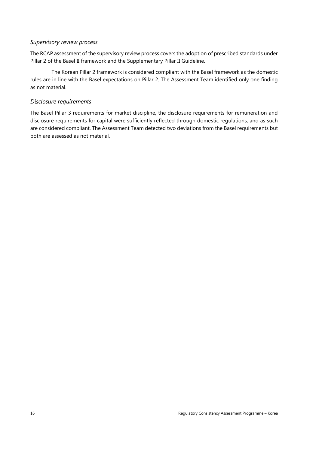#### *Supervisory review process*

The RCAP assessment of the supervisory review process covers the adoption of prescribed standards under Pillar 2 of the Basel II framework and the Supplementary Pillar II Guideline.

The Korean Pillar 2 framework is considered compliant with the Basel framework as the domestic rules are in line with the Basel expectations on Pillar 2. The Assessment Team identified only one finding as not material.

#### *Disclosure requirements*

The Basel Pillar 3 requirements for market discipline, the disclosure requirements for remuneration and disclosure requirements for capital were sufficiently reflected through domestic regulations, and as such are considered compliant. The Assessment Team detected two deviations from the Basel requirements but both are assessed as not material.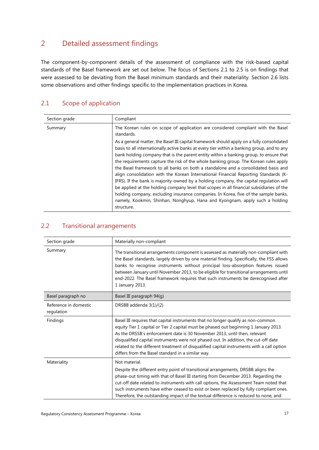## <span id="page-20-0"></span>2 Detailed assessment findings

The component-by-component details of the assessment of compliance with the risk-based capital standards of the Basel framework are set out below. The focus of Sections 2.1 to 2.5 is on findings that were assessed to be deviating from the Basel minimum standards and their materiality. Section 2.6 lists some observations and other findings specific to the implementation practices in Korea.

## <span id="page-20-1"></span>2.1 Scope of application

| Section grade | Compliant                                                                                                                                                                                                                                                                                                                                                                                                                                                                                                                                                                                                                                                                                                                                                                                                                                                                                                                       |
|---------------|---------------------------------------------------------------------------------------------------------------------------------------------------------------------------------------------------------------------------------------------------------------------------------------------------------------------------------------------------------------------------------------------------------------------------------------------------------------------------------------------------------------------------------------------------------------------------------------------------------------------------------------------------------------------------------------------------------------------------------------------------------------------------------------------------------------------------------------------------------------------------------------------------------------------------------|
| Summary       | The Korean rules on scope of application are considered compliant with the Basel<br>standards.                                                                                                                                                                                                                                                                                                                                                                                                                                                                                                                                                                                                                                                                                                                                                                                                                                  |
|               | As a general matter, the Basel III capital framework should apply on a fully consolidated<br>basis to all internationally active banks at every tier within a banking group, and to any<br>bank holding company that is the parent entity within a banking group, to ensure that<br>the requirements capture the risk of the whole banking group. The Korean rules apply<br>the Basel framework to all banks on both a standalone and a consolidated basis and<br>align consolidation with the Korean International Financial Reporting Standards (K-<br>IFRS). If the bank is majority-owned by a holding company, the capital regulation will<br>be applied at the holding company level that scopes in all financial subsidiaries of the<br>holding company, excluding insurance companies. In Korea, five of the sample banks,<br>namely, Kookmin, Shinhan, Nonghyup, Hana and Kyongnam, apply such a holding<br>structure. |

### <span id="page-20-2"></span>2.2 Transitional arrangements

| Section grade                       | Materially non-compliant                                                                                                                                                                                                                                                                                                                                                                                                                                                                       |
|-------------------------------------|------------------------------------------------------------------------------------------------------------------------------------------------------------------------------------------------------------------------------------------------------------------------------------------------------------------------------------------------------------------------------------------------------------------------------------------------------------------------------------------------|
| Summary                             | The transitional arrangements component is assessed as materially non-compliant with<br>the Basel standards, largely driven by one material finding. Specifically, the FSS allows<br>banks to recognise instruments without principal loss-absorption features issued<br>between January until November 2013, to be eligible for transitional arrangements until<br>end-2022. The Basel framework requires that such instruments be derecognised after<br>1 January 2013.                      |
| Basel paragraph no                  | Basel III paragraph 94(g)                                                                                                                                                                                                                                                                                                                                                                                                                                                                      |
| Reference in domestic<br>regulation | DRSBB addenda 3(1)/(2)                                                                                                                                                                                                                                                                                                                                                                                                                                                                         |
| Findings                            | Basel III requires that capital instruments that no longer qualify as non-common<br>equity Tier 1 capital or Tier 2 capital must be phased out beginning 1 January 2013.<br>As the DRSSB's enforcement date is 30 November 2013, until then, relevant<br>disqualified capital instruments were not phased out. In addition, the cut-off date<br>related to the different treatment of disqualified capital instruments with a call option<br>differs from the Basel standard in a similar way. |
| Materiality                         | Not material.<br>Despite the different entry point of transitional arrangements, DRSBB aligns the<br>phase-out timing with that of Basel III starting from December 2013. Regarding the<br>cut-off date related to instruments with call options, the Assessment Team noted that<br>such instruments have either ceased to exist or been replaced by fully compliant ones.<br>Therefore, the outstanding impact of the textual difference is reduced to none, and                              |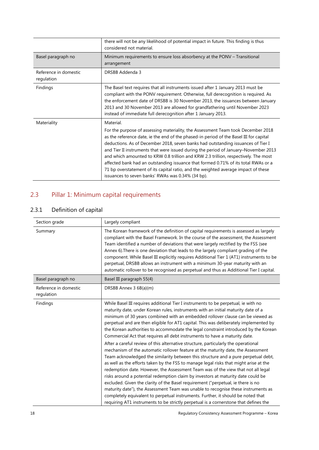|                                     | there will not be any likelihood of potential impact in future. This finding is thus<br>considered not material.                                                                                                                                                                                                                                                                                                                                                                                                                                                                                                                                                                           |
|-------------------------------------|--------------------------------------------------------------------------------------------------------------------------------------------------------------------------------------------------------------------------------------------------------------------------------------------------------------------------------------------------------------------------------------------------------------------------------------------------------------------------------------------------------------------------------------------------------------------------------------------------------------------------------------------------------------------------------------------|
| Basel paragraph no                  | Minimum requirements to ensure loss absorbency at the PONV - Transitional<br>arrangement                                                                                                                                                                                                                                                                                                                                                                                                                                                                                                                                                                                                   |
| Reference in domestic<br>regulation | DRSBB Addenda 3                                                                                                                                                                                                                                                                                                                                                                                                                                                                                                                                                                                                                                                                            |
| Findings                            | The Basel text requires that all instruments issued after 1 January 2013 must be<br>compliant with the PONV requirement. Otherwise, full derecognition is required. As<br>the enforcement date of DRSBB is 30 November 2013, the issuances between January<br>2013 and 30 November 2013 are allowed for grandfathering until November 2023<br>instead of immediate full derecognition after 1 January 2013.                                                                                                                                                                                                                                                                                |
| Materiality                         | Material.<br>For the purpose of assessing materiality, the Assessment Team took December 2018<br>as the reference date, ie the end of the phased-in period of the Basel III for capital<br>deductions. As of December 2018, seven banks had outstanding issuances of Tier I<br>and Tier II instruments that were issued during the period of January-November 2013<br>and which amounted to KRW 0.8 trillion and KRW 2.3 trillion, respectively. The most<br>affected bank had an outstanding issuance that formed 0.71% of its total RWAs or a<br>71 bp overstatement of its capital ratio, and the weighted average impact of these<br>issuances to seven banks' RWAs was 0.34% (34 bp). |

## <span id="page-21-0"></span>2.3 Pillar 1: Minimum capital requirements

## 2.3.1 Definition of capital

| Section grade                       | Largely compliant                                                                                                                                                                                                                                                                                                                                                                                                                                                                                                                                                                                                                                                                                                                                                                                                                                                                                                                                                                                                                                                                                                                                                                                                                                                                                                                                                                                             |
|-------------------------------------|---------------------------------------------------------------------------------------------------------------------------------------------------------------------------------------------------------------------------------------------------------------------------------------------------------------------------------------------------------------------------------------------------------------------------------------------------------------------------------------------------------------------------------------------------------------------------------------------------------------------------------------------------------------------------------------------------------------------------------------------------------------------------------------------------------------------------------------------------------------------------------------------------------------------------------------------------------------------------------------------------------------------------------------------------------------------------------------------------------------------------------------------------------------------------------------------------------------------------------------------------------------------------------------------------------------------------------------------------------------------------------------------------------------|
| Summary                             | The Korean framework of the definition of capital requirements is assessed as largely<br>compliant with the Basel Framework. In the course of the assessment, the Assessment<br>Team identified a number of deviations that were largely rectified by the FSS (see<br>Annex 6). There is one deviation that leads to the largely compliant grading of the<br>component. While Basel III explicitly requires Additional Tier 1 (AT1) instruments to be<br>perpetual, DRSBB allows an instrument with a minimum 30-year maturity with an<br>automatic rollover to be recognised as perpetual and thus as Additional Tier I capital.                                                                                                                                                                                                                                                                                                                                                                                                                                                                                                                                                                                                                                                                                                                                                                             |
| Basel paragraph no                  | Basel III paragraph 55(4)                                                                                                                                                                                                                                                                                                                                                                                                                                                                                                                                                                                                                                                                                                                                                                                                                                                                                                                                                                                                                                                                                                                                                                                                                                                                                                                                                                                     |
| Reference in domestic<br>regulation | DRSBB Annex 3 6B(a)(m)                                                                                                                                                                                                                                                                                                                                                                                                                                                                                                                                                                                                                                                                                                                                                                                                                                                                                                                                                                                                                                                                                                                                                                                                                                                                                                                                                                                        |
| Findings                            | While Basel III requires additional Tier I instruments to be perpetual, ie with no<br>maturity date, under Korean rules, instruments with an initial maturity date of a<br>minimum of 30 years combined with an embedded rollover clause can be viewed as<br>perpetual and are then eligible for AT1 capital. This was deliberately implemented by<br>the Korean authorities to accommodate the legal constraint introduced by the Korean<br>Commercial Act that requires all debt instruments to have a maturity date.<br>After a careful review of this alternative structure, particularly the operational<br>mechanism of the automatic rollover feature at the maturity date, the Assessment<br>Team acknowledged the similarity between this structure and a pure perpetual debt,<br>as well as the efforts taken by the FSS to manage legal risks that might arise at the<br>redemption date. However, the Assessment Team was of the view that not all legal<br>risks around a potential redemption claim by investors at maturity date could be<br>excluded. Given the clarity of the Basel requirement ("perpetual, ie there is no<br>maturity date"), the Assessment Team was unable to recognise these instruments as<br>completely equivalent to perpetual instruments. Further, it should be noted that<br>requiring AT1 instruments to be strictly perpetual is a cornerstone that defines the |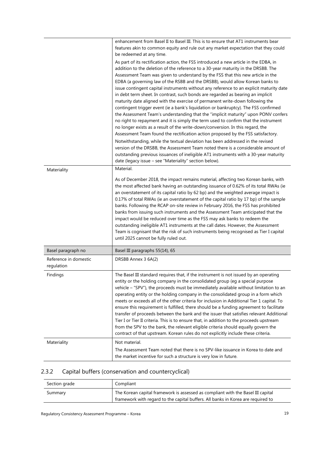|                                     | enhancement from Basel II to Basel III. This is to ensure that AT1 instruments bear<br>features akin to common equity and rule out any market expectation that they could                                                                                                                                                                                                                                                                                                                                                                                                                                                                                                                                                                                                                                                                                                                                                                                                                                                                                                                                                                                             |
|-------------------------------------|-----------------------------------------------------------------------------------------------------------------------------------------------------------------------------------------------------------------------------------------------------------------------------------------------------------------------------------------------------------------------------------------------------------------------------------------------------------------------------------------------------------------------------------------------------------------------------------------------------------------------------------------------------------------------------------------------------------------------------------------------------------------------------------------------------------------------------------------------------------------------------------------------------------------------------------------------------------------------------------------------------------------------------------------------------------------------------------------------------------------------------------------------------------------------|
|                                     | be redeemed at any time.<br>As part of its rectification action, the FSS introduced a new article in the EDBA, in<br>addition to the deletion of the reference to a 30-year maturity in the DRSBB. The<br>Assessment Team was given to understand by the FSS that this new article in the<br>EDBA (a governing law of the RSBB and the DRSBB), would allow Korean banks to<br>issue contingent capital instruments without any reference to an explicit maturity date<br>in debt term sheet. In contrast, such bonds are regarded as bearing an implicit<br>maturity date aligned with the exercise of permanent write-down following the<br>contingent trigger event (ie a bank's liquidation or bankruptcy). The FSS confirmed<br>the Assessment Team's understanding that the "implicit maturity" upon PONV confers<br>no right to repayment and it is simply the term used to confirm that the instrument<br>no longer exists as a result of the write-down/conversion. In this regard, the<br>Assessment Team found the rectification action proposed by the FSS satisfactory.<br>Notwithstanding, while the textual deviation has been addressed in the revised |
|                                     | version of the DRSBB, the Assessment Team noted there is a considerable amount of<br>outstanding previous issuances of ineligible AT1 instruments with a 30-year maturity<br>date (legacy issue - see "Materiality" section below).                                                                                                                                                                                                                                                                                                                                                                                                                                                                                                                                                                                                                                                                                                                                                                                                                                                                                                                                   |
| Materiality                         | Material.<br>As of December 2018, the impact remains material, affecting two Korean banks, with<br>the most affected bank having an outstanding issuance of 0.62% of its total RWAs (ie<br>an overstatement of its capital ratio by 62 bp) and the weighted average impact is<br>0.17% of total RWAs (ie an overstatement of the capital ratio by 17 bp) of the sample<br>banks. Following the RCAP on-site review in February 2016, the FSS has prohibited<br>banks from issuing such instruments and the Assessment Team anticipated that the<br>impact would be reduced over time as the FSS may ask banks to redeem the<br>outstanding ineligible AT1 instruments at the call dates. However, the Assessment<br>Team is cognisant that the risk of such instruments being recognised as Tier I capital<br>until 2025 cannot be fully ruled out.                                                                                                                                                                                                                                                                                                                   |
| Basel paragraph no                  | Basel III paragraphs 55(14), 65                                                                                                                                                                                                                                                                                                                                                                                                                                                                                                                                                                                                                                                                                                                                                                                                                                                                                                                                                                                                                                                                                                                                       |
| Reference in domestic<br>regulation | DRSBB Annex 3 6A(2)                                                                                                                                                                                                                                                                                                                                                                                                                                                                                                                                                                                                                                                                                                                                                                                                                                                                                                                                                                                                                                                                                                                                                   |
| Findings                            | The Basel III standard requires that, if the instrument is not issued by an operating<br>entity or the holding company in the consolidated group (eg a special purpose<br>vehicle - "SPV"), the proceeds must be immediately available without limitation to an<br>operating entity or the holding company in the consolidated group in a form which<br>meets or exceeds all of the other criteria for inclusion in Additional Tier 1 capital. To<br>ensure this requirement is fulfilled, there should be a funding agreement to facilitate<br>transfer of proceeds between the bank and the issuer that satisfies relevant Additional<br>Tier I or Tier II criteria. This is to ensure that, in addition to the proceeds upstream<br>from the SPV to the bank, the relevant eligible criteria should equally govern the<br>contract of that upstream. Korean rules do not explicitly include these criteria.                                                                                                                                                                                                                                                        |
| Materiality                         | Not material.<br>The Assessment Team noted that there is no SPV-like issuance in Korea to date and                                                                                                                                                                                                                                                                                                                                                                                                                                                                                                                                                                                                                                                                                                                                                                                                                                                                                                                                                                                                                                                                    |
|                                     | the market incentive for such a structure is very low in future.                                                                                                                                                                                                                                                                                                                                                                                                                                                                                                                                                                                                                                                                                                                                                                                                                                                                                                                                                                                                                                                                                                      |

### <span id="page-22-0"></span>2.3.2 Capital buffers (conservation and countercyclical)

| Section grade | Compliant                                                                        |
|---------------|----------------------------------------------------------------------------------|
| Summary       | The Korean capital framework is assessed as compliant with the Basel III capital |
|               | framework with regard to the capital buffers. All banks in Korea are reguired to |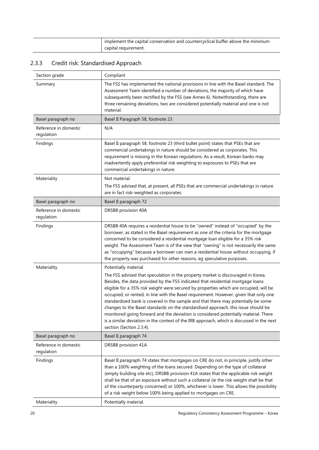| implement the capital conservation and countercyclical buffer above the minimum |
|---------------------------------------------------------------------------------|
| capital requirement.                                                            |

## <span id="page-23-0"></span>2.3.3 Credit risk: Standardised Approach

| Section grade                       | Compliant                                                                                                                                                                                                                                                                                                                                                                                                                                                                                                                                                                                                                                                                                                                                                                |
|-------------------------------------|--------------------------------------------------------------------------------------------------------------------------------------------------------------------------------------------------------------------------------------------------------------------------------------------------------------------------------------------------------------------------------------------------------------------------------------------------------------------------------------------------------------------------------------------------------------------------------------------------------------------------------------------------------------------------------------------------------------------------------------------------------------------------|
| Summary                             | The FSS has implemented the national provisions in line with the Basel standard. The<br>Assessment Team identified a number of deviations, the majority of which have<br>subsequently been rectified by the FSS (see Annex 6). Notwithstanding, there are<br>three remaining deviations, two are considered potentially material and one is not<br>material.                                                                                                                                                                                                                                                                                                                                                                                                             |
| Basel paragraph no                  | Basel II Paragraph 58, footnote 23                                                                                                                                                                                                                                                                                                                                                                                                                                                                                                                                                                                                                                                                                                                                       |
| Reference in domestic<br>regulation | N/A                                                                                                                                                                                                                                                                                                                                                                                                                                                                                                                                                                                                                                                                                                                                                                      |
| Findings                            | Basel II paragraph 58, footnote 23 (third bullet point) states that PSEs that are<br>commercial undertakings in nature should be considered as corporates. This<br>requirement is missing in the Korean regulations. As a result, Korean banks may<br>inadvertently apply preferential risk weighting to exposures to PSEs that are<br>commercial undertakings in nature.                                                                                                                                                                                                                                                                                                                                                                                                |
| Materiality                         | Not material.<br>The FSS advised that, at present, all PSEs that are commercial undertakings in nature<br>are in fact risk-weighted as corporates.                                                                                                                                                                                                                                                                                                                                                                                                                                                                                                                                                                                                                       |
| Basel paragraph no                  | Basel II paragraph 72                                                                                                                                                                                                                                                                                                                                                                                                                                                                                                                                                                                                                                                                                                                                                    |
| Reference in domestic<br>regulation | DRSBB provision 40A                                                                                                                                                                                                                                                                                                                                                                                                                                                                                                                                                                                                                                                                                                                                                      |
| Findings                            | DRSBB 40A requires a residential house to be "owned" instead of "occupied" by the<br>borrower, as stated in the Basel requirement as one of the criteria for the mortgage<br>concerned to be considered a residential mortgage loan eligible for a 35% risk<br>weight. The Assessment Team is of the view that "owning" is not necessarily the same<br>as "occupying" because a borrower can own a residential house without occupying, if<br>the property was purchased for other reasons, eg speculative purposes.                                                                                                                                                                                                                                                     |
| Materiality                         | Potentially material.<br>The FSS advised that speculation in the property market is discouraged in Korea.<br>Besides, the data provided by the FSS indicated that residential mortgage loans<br>eligible for a 35% risk weight were secured by properties which are occupied, will be<br>occupied, or rented, in line with the Basel requirement. However, given that only one<br>standardised bank is covered in the sample and that there may potentially be some<br>changes to the Basel standards on the standardised approach, this issue should be<br>monitored going forward and the deviation is considered potentially material. There<br>is a similar deviation in the context of the IRB approach, which is discussed in the next<br>section (Section 2.3.4). |
| Basel paragraph no                  | Basel II paragraph 74                                                                                                                                                                                                                                                                                                                                                                                                                                                                                                                                                                                                                                                                                                                                                    |
| Reference in domestic<br>regulation | DRSBB provision 41A                                                                                                                                                                                                                                                                                                                                                                                                                                                                                                                                                                                                                                                                                                                                                      |
| Findings                            | Basel II paragraph 74 states that mortgages on CRE do not, in principle, justify other<br>than a 100% weighting of the loans secured. Depending on the type of collateral<br>(empty building site etc), DRSBB provision 41A states that the applicable risk weight<br>shall be that of an exposure without such a collateral (ie the risk weight shall be that<br>of the counterparty concerned) or 100%, whichever is lower. This allows the possibility<br>of a risk weight below 100% being applied to mortgages on CRE.                                                                                                                                                                                                                                              |
| Materiality                         | Potentially material.                                                                                                                                                                                                                                                                                                                                                                                                                                                                                                                                                                                                                                                                                                                                                    |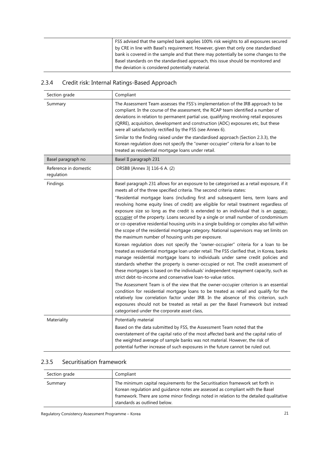| FSS advised that the sampled bank applies 100% risk weights to all exposures secured |
|--------------------------------------------------------------------------------------|
| by CRE in line with Basel's requirement. However, given that only one standardised   |
| bank is covered in the sample and that there may potentially be some changes to the  |
| Basel standards on the standardised approach, this issue should be monitored and     |
| the deviation is considered potentially material.                                    |

## <span id="page-24-0"></span>2.3.4 Credit risk: Internal Ratings-Based Approach

| Section grade                       | Compliant                                                                                                                                                                                                                                                                                                                                                                                                                                                                                                                                                                                                                                                                                                                                                                                                                                                                                                                                                                                                                                                                                                                                                                                                                                                                                                                                                                                                                                                                                                                                                                                                                                                                                                |
|-------------------------------------|----------------------------------------------------------------------------------------------------------------------------------------------------------------------------------------------------------------------------------------------------------------------------------------------------------------------------------------------------------------------------------------------------------------------------------------------------------------------------------------------------------------------------------------------------------------------------------------------------------------------------------------------------------------------------------------------------------------------------------------------------------------------------------------------------------------------------------------------------------------------------------------------------------------------------------------------------------------------------------------------------------------------------------------------------------------------------------------------------------------------------------------------------------------------------------------------------------------------------------------------------------------------------------------------------------------------------------------------------------------------------------------------------------------------------------------------------------------------------------------------------------------------------------------------------------------------------------------------------------------------------------------------------------------------------------------------------------|
| Summary                             | The Assessment Team assesses the FSS's implementation of the IRB approach to be<br>compliant. In the course of the assessment, the RCAP team identified a number of<br>deviations in relation to permanent partial use, qualifying revolving retail exposures<br>(QRRE), acquisition, development and construction (ADC) exposures etc, but these<br>were all satisfactorily rectified by the FSS (see Annex 6).<br>Similar to the finding raised under the standardised approach (Section 2.3.3), the<br>Korean regulation does not specify the "owner-occupier" criteria for a loan to be<br>treated as residential mortgage loans under retail.                                                                                                                                                                                                                                                                                                                                                                                                                                                                                                                                                                                                                                                                                                                                                                                                                                                                                                                                                                                                                                                       |
| Basel paragraph no                  | Basel II paragraph 231                                                                                                                                                                                                                                                                                                                                                                                                                                                                                                                                                                                                                                                                                                                                                                                                                                                                                                                                                                                                                                                                                                                                                                                                                                                                                                                                                                                                                                                                                                                                                                                                                                                                                   |
| Reference in domestic<br>regulation | DRSBB [Annex 3] 116-6 A. (2)                                                                                                                                                                                                                                                                                                                                                                                                                                                                                                                                                                                                                                                                                                                                                                                                                                                                                                                                                                                                                                                                                                                                                                                                                                                                                                                                                                                                                                                                                                                                                                                                                                                                             |
| Findings                            | Basel paragraph 231 allows for an exposure to be categorised as a retail exposure, if it<br>meets all of the three specified criteria. The second criteria states:<br>"Residential mortgage loans (including first and subsequent liens, term loans and<br>revolving home equity lines of credit) are eligible for retail treatment regardless of<br>exposure size so long as the credit is extended to an individual that is an owner-<br>occupier of the property. Loans secured by a single or small number of condominium<br>or co-operative residential housing units in a single building or complex also fall within<br>the scope of the residential mortgage category. National supervisors may set limits on<br>the maximum number of housing units per exposure.<br>Korean regulation does not specify the "owner-occupier" criteria for a loan to be<br>treated as residential mortgage loan under retail. The FSS clarified that, in Korea, banks<br>manage residential mortgage loans to individuals under same credit policies and<br>standards whether the property is owner-occupied or not. The credit assessment of<br>these mortgages is based on the individuals' independent repayment capacity, such as<br>strict debt-to-income and conservative loan-to-value ratios.<br>The Assessment Team is of the view that the owner-occupier criterion is an essential<br>condition for residential mortgage loans to be treated as retail and qualify for the<br>relatively low correlation factor under IRB. In the absence of this criterion, such<br>exposures should not be treated as retail as per the Basel Framework but instead<br>categorised under the corporate asset class, |
| Materiality                         | Potentially material<br>Based on the data submitted by FSS, the Assessment Team noted that the<br>overstatement of the capital ratio of the most affected bank and the capital ratio of<br>the weighted average of sample banks was not material. However, the risk of<br>potential further increase of such exposures in the future cannot be ruled out.                                                                                                                                                                                                                                                                                                                                                                                                                                                                                                                                                                                                                                                                                                                                                                                                                                                                                                                                                                                                                                                                                                                                                                                                                                                                                                                                                |

### <span id="page-24-1"></span>2.3.5 Securitisation framework

| Section grade | Compliant                                                                                                                                                                                                                                                                                 |
|---------------|-------------------------------------------------------------------------------------------------------------------------------------------------------------------------------------------------------------------------------------------------------------------------------------------|
| Summary       | The minimum capital requirements for the Securitisation framework set forth in<br>Korean regulation and guidance notes are assessed as compliant with the Basel<br>framework. There are some minor findings noted in relation to the detailed qualitative<br>standards as outlined below. |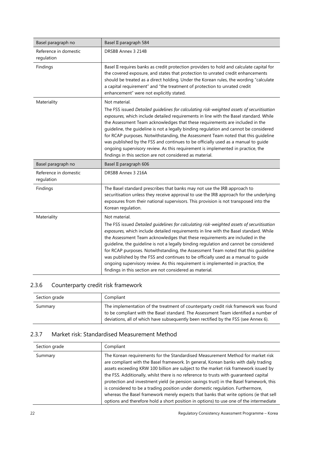| Basel paragraph no                  | Basel II paragraph 584                                                                                                                                                                                                                                                                                                                                                                                                                                                                                                                                                                                                                                                                                |
|-------------------------------------|-------------------------------------------------------------------------------------------------------------------------------------------------------------------------------------------------------------------------------------------------------------------------------------------------------------------------------------------------------------------------------------------------------------------------------------------------------------------------------------------------------------------------------------------------------------------------------------------------------------------------------------------------------------------------------------------------------|
| Reference in domestic<br>regulation | DRSBB Annex 3 214B                                                                                                                                                                                                                                                                                                                                                                                                                                                                                                                                                                                                                                                                                    |
| Findings                            | Basel II requires banks as credit protection providers to hold and calculate capital for<br>the covered exposure, and states that protection to unrated credit enhancements<br>should be treated as a direct holding. Under the Korean rules, the wording "calculate<br>a capital requirement" and "the treatment of protection to unrated credit<br>enhancement" were not explicitly stated.                                                                                                                                                                                                                                                                                                         |
| Materiality                         | Not material.<br>The FSS issued Detailed guidelines for calculating risk-weighted assets of securitisation<br>exposures, which include detailed requirements in line with the Basel standard. While<br>the Assessment Team acknowledges that these requirements are included in the<br>guideline, the guideline is not a legally binding regulation and cannot be considered<br>for RCAP purposes. Notwithstanding, the Assessment Team noted that this guideline<br>was published by the FSS and continues to be officially used as a manual to guide<br>ongoing supervisory review. As this requirement is implemented in practice, the<br>findings in this section are not considered as material. |
| Basel paragraph no                  | Basel II paragraph 606                                                                                                                                                                                                                                                                                                                                                                                                                                                                                                                                                                                                                                                                                |
| Reference in domestic<br>regulation | DRSBB Annex 3 216A                                                                                                                                                                                                                                                                                                                                                                                                                                                                                                                                                                                                                                                                                    |
| Findings                            | The Basel standard prescribes that banks may not use the IRB approach to<br>securitisation unless they receive approval to use the IRB approach for the underlying<br>exposures from their national supervisors. This provision is not transposed into the<br>Korean regulation.                                                                                                                                                                                                                                                                                                                                                                                                                      |
| Materiality                         | Not material.<br>The FSS issued Detailed guidelines for calculating risk-weighted assets of securitisation<br>exposures, which include detailed requirements in line with the Basel standard. While<br>the Assessment Team acknowledges that these requirements are included in the<br>guideline, the guideline is not a legally binding regulation and cannot be considered<br>for RCAP purposes. Notwithstanding, the Assessment Team noted that this guideline<br>was published by the FSS and continues to be officially used as a manual to guide<br>ongoing supervisory review. As this requirement is implemented in practice, the<br>findings in this section are not considered as material. |

## <span id="page-25-0"></span>2.3.6 Counterparty credit risk framework

| Section grade | Compliant                                                                                                                                                                                                                                                         |
|---------------|-------------------------------------------------------------------------------------------------------------------------------------------------------------------------------------------------------------------------------------------------------------------|
| Summary       | The implementation of the treatment of counterparty credit risk framework was found<br>to be compliant with the Basel standard. The Assessment Team identified a number of<br>deviations, all of which have subsequently been rectified by the FSS (see Annex 6). |

#### <span id="page-25-1"></span>2.3.7 Market risk: Standardised Measurement Method

| Section grade | Compliant                                                                                                                                                                                                                                                                                                                                                                                                                                                                                                                                                                                                                                                                                                               |
|---------------|-------------------------------------------------------------------------------------------------------------------------------------------------------------------------------------------------------------------------------------------------------------------------------------------------------------------------------------------------------------------------------------------------------------------------------------------------------------------------------------------------------------------------------------------------------------------------------------------------------------------------------------------------------------------------------------------------------------------------|
| Summary       | The Korean requirements for the Standardised Measurement Method for market risk<br>are compliant with the Basel framework. In general, Korean banks with daily trading<br>assets exceeding KRW 100 billion are subject to the market risk framework issued by<br>the FSS. Additionally, whilst there is no reference to trusts with quaranteed capital<br>protection and investment yield (ie pension savings trust) in the Basel framework, this<br>is considered to be a trading position under domestic regulation. Furthermore,<br>whereas the Basel framework merely expects that banks that write options (ie that sell<br>options and therefore hold a short position in options) to use one of the intermediate |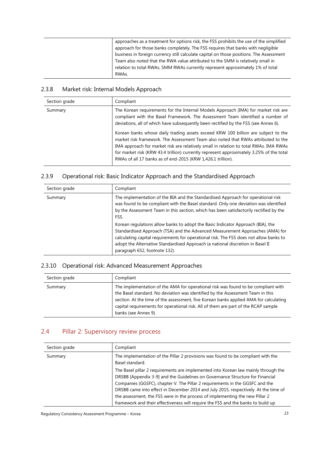| approaches as a treatment for options risk, the FSS prohibits the use of the simplified<br>approach for those banks completely. The FSS requires that banks with negligible                                                                                           |
|-----------------------------------------------------------------------------------------------------------------------------------------------------------------------------------------------------------------------------------------------------------------------|
| business in foreign currency still calculate capital on those positions. The Assessment<br>Team also noted that the RWA value attributed to the SMM is relatively small in<br>relation to total RWAs. SMM RWAs currently represent approximately 1% of total<br>RWAs. |

### <span id="page-26-0"></span>2.3.8 Market risk: Internal Models Approach

| Section grade | Compliant                                                                                                                                                                                                                                                                                                                                                                                                                  |
|---------------|----------------------------------------------------------------------------------------------------------------------------------------------------------------------------------------------------------------------------------------------------------------------------------------------------------------------------------------------------------------------------------------------------------------------------|
| Summary       | The Korean requirements for the Internal Models Approach (IMA) for market risk are<br>compliant with the Basel Framework. The Assessment Team identified a number of<br>deviations, all of which have subsequently been rectified by the FSS (see Annex 6).                                                                                                                                                                |
|               | Korean banks whose daily trading assets exceed KRW 100 billion are subject to the<br>market risk framework. The Assessment Team also noted that RWAs attributed to the<br>IMA approach for market risk are relatively small in relation to total RWAs. IMA RWAs<br>for market risk (KRW 43.4 trillion) currently represent approximately 3.25% of the total<br>RWAs of all 17 banks as of end-2015 (KRW 1,426.1 trillion). |

### <span id="page-26-1"></span>2.3.9 Operational risk: Basic Indicator Approach and the Standardised Approach

| Section grade | Compliant                                                                                                                                                                                                                                                                                                                                                                     |
|---------------|-------------------------------------------------------------------------------------------------------------------------------------------------------------------------------------------------------------------------------------------------------------------------------------------------------------------------------------------------------------------------------|
| Summary       | The implementation of the BIA and the Standardised Approach for operational risk<br>was found to be compliant with the Basel standard. Only one deviation was identified<br>by the Assessment Team in this section, which has been satisfactorily rectified by the<br>FSS.                                                                                                    |
|               | Korean regulations allow banks to adopt the Basic Indicator Approach (BIA), the<br>Standardised Approach (TSA) and the Advanced Measurement Approaches (AMA) for<br>calculating capital requirements for operational risk. The FSS does not allow banks to<br>adopt the Alternative Standardised Approach (a national discretion in Basel II<br>paragraph 652, footnote 132). |

#### <span id="page-26-2"></span>2.3.10 Operational risk: Advanced Measurement Approaches

| Section grade | Compliant                                                                                                                                                                                                                                                                                                                                                                  |
|---------------|----------------------------------------------------------------------------------------------------------------------------------------------------------------------------------------------------------------------------------------------------------------------------------------------------------------------------------------------------------------------------|
| Summary       | The implementation of the AMA for operational risk was found to be compliant with<br>the Basel standard. No deviation was identified by the Assessment Team in this<br>section. At the time of the assessment, five Korean banks applied AMA for calculating<br>capital requirements for operational risk. All of them are part of the RCAP sample<br>banks (see Annex 9). |

## <span id="page-26-3"></span>2.4 Pillar 2: Supervisory review process

| Section grade | Compliant                                                                                                                                                                                                                                                                                                                                                                                                                                                                                                      |
|---------------|----------------------------------------------------------------------------------------------------------------------------------------------------------------------------------------------------------------------------------------------------------------------------------------------------------------------------------------------------------------------------------------------------------------------------------------------------------------------------------------------------------------|
| Summary       | The implementation of the Pillar 2 provisions was found to be compliant with the<br>Basel standard.                                                                                                                                                                                                                                                                                                                                                                                                            |
|               | The Basel pillar 2 requirements are implemented into Korean law mainly through the<br>DRSBB [Appendix 3-9] and the Guidelines on Governance Structure for Financial<br>Companies (GGSFC), chapter V. The Pillar 2 requirements in the GGSFC and the<br>DRSBB came into effect in December 2014 and July 2015, respectively. At the time of<br>the assessment, the FSS were in the process of implementing the new Pillar 2<br>framework and their effectiveness will require the FSS and the banks to build up |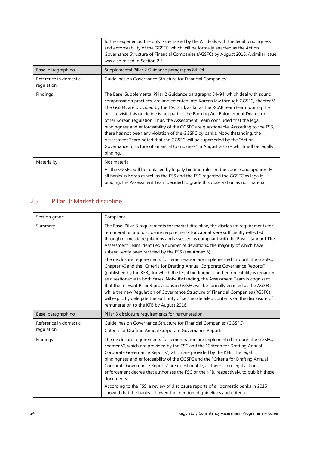|                                     | further experience. The only issue raised by the AT deals with the legal bindingness<br>and enforceability of the GGSFC, which will be formally enacted as the Act on<br>Governance Structure of Financial Companies (AGSFC) by August 2016. A similar issue<br>was also raised in Section 2.5.                                                                                                                                                                                                                                                                                                                                                                                                                                                                                     |
|-------------------------------------|-------------------------------------------------------------------------------------------------------------------------------------------------------------------------------------------------------------------------------------------------------------------------------------------------------------------------------------------------------------------------------------------------------------------------------------------------------------------------------------------------------------------------------------------------------------------------------------------------------------------------------------------------------------------------------------------------------------------------------------------------------------------------------------|
| Basel paragraph no                  | Supplemental Pillar 2 Guidance paragraphs 84-94                                                                                                                                                                                                                                                                                                                                                                                                                                                                                                                                                                                                                                                                                                                                     |
| Reference in domestic<br>regulation | Guidelines on Governance Structure for Financial Companies                                                                                                                                                                                                                                                                                                                                                                                                                                                                                                                                                                                                                                                                                                                          |
| Findings                            | The Basel Supplemental Pillar 2 Guidance paragraphs 84–94, which deal with sound<br>compensation practices, are implemented into Korean law through GGSFC, chapter V.<br>The GGSFC are provided by the FSC and, as far as the RCAP team learnt during the<br>on-site visit, this guideline is not part of the Banking Act, Enforcement Decree or<br>other Korean regulation. Thus, the Assessment Team concluded that the legal<br>bindingness and enforceability of the GGSFC are questionable. According to the FSS,<br>there has not been any violation of the GGSFC by banks. Notwithstanding, the<br>Assessment Team noted that the GGSFC will be superseded by the "Act on<br>Governance Structure of Financial Companies" in August 2016 - which will be legally<br>binding. |
| Materiality                         | Not material.<br>As the GGSFC will be replaced by legally binding rules in due course and apparently<br>all banks in Korea as well as the FSS and the FSC regarded the GGSFC as legally<br>binding, the Assessment Team decided to grade this observation as not material.                                                                                                                                                                                                                                                                                                                                                                                                                                                                                                          |

## <span id="page-27-0"></span>2.5 Pillar 3: Market discipline

| Section grade                       | Compliant                                                                                                                                                                                                                                                                                                                                                                                                                                                                                                                                                                                                                                                                                                                                                                                                                                                                                                                                                                                                                                                                        |
|-------------------------------------|----------------------------------------------------------------------------------------------------------------------------------------------------------------------------------------------------------------------------------------------------------------------------------------------------------------------------------------------------------------------------------------------------------------------------------------------------------------------------------------------------------------------------------------------------------------------------------------------------------------------------------------------------------------------------------------------------------------------------------------------------------------------------------------------------------------------------------------------------------------------------------------------------------------------------------------------------------------------------------------------------------------------------------------------------------------------------------|
| Summary                             | The Basel Pillar 3 requirements for market discipline, the disclosure requirements for<br>remuneration and disclosure requirements for capital were sufficiently reflected<br>through domestic regulations and assessed as compliant with the Basel standard The<br>Assessment Team identified a number of deviations, the majority of which have<br>subsequently been rectified by the FSS (see Annex 6).<br>The disclosure requirements for remuneration are implemented through the GGSFC,<br>Chapter VI and the "Criteria for Drafting Annual Corporate Governance Reports"<br>(published by the KFB), for which the legal bindingness and enforceability is regarded<br>as questionable in both cases. Notwithstanding, the Assessment Team is cognisant<br>that the relevant Pillar 3 provisions in GGSFC will be formally enacted as the AGSFC,<br>while the new Regulation of Governance Structure of Financial Companies (RGSFC)<br>will explicitly delegate the authority of setting detailed contents on the disclosure of<br>remuneration to the KFB by August 2016. |
| Basel paragraph no                  | Pillar 3 disclosure requirements for remuneration                                                                                                                                                                                                                                                                                                                                                                                                                                                                                                                                                                                                                                                                                                                                                                                                                                                                                                                                                                                                                                |
| Reference in domestic<br>regulation | Guidelines on Governance Structure for Financial Companies (GGSFC)<br>Criteria for Drafting Annual Corporate Governance Reports                                                                                                                                                                                                                                                                                                                                                                                                                                                                                                                                                                                                                                                                                                                                                                                                                                                                                                                                                  |
| Findings                            | The disclosure requirements for remuneration are implemented through the GGSFC,<br>chapter VI, which are provided by the FSC and the "Criteria for Drafting Annual<br>Corporate Governance Reports", which are provided by the KFB. The legal<br>bindingness and enforceability of the GGSFC and the "Criteria for Drafting Annual<br>Corporate Governance Reports" are questionable, as there is no legal act or<br>enforcement decree that authorises the FSC or the KFB, respectively, to publish these<br>documents.<br>According to the FSS, a review of disclosure reports of all domestic banks in 2015<br>showed that the banks followed the mentioned quidelines and criteria.                                                                                                                                                                                                                                                                                                                                                                                          |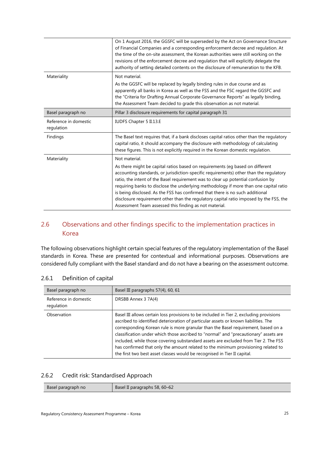|                                     | On 1 August 2016, the GGSFC will be superseded by the Act on Governance Structure<br>of Financial Companies and a corresponding enforcement decree and regulation. At<br>the time of the on-site assessment, the Korean authorities were still working on the<br>revisions of the enforcement decree and regulation that will explicitly delegate the<br>authority of setting detailed contents on the disclosure of remuneration to the KFB.                                                                                                                                              |
|-------------------------------------|--------------------------------------------------------------------------------------------------------------------------------------------------------------------------------------------------------------------------------------------------------------------------------------------------------------------------------------------------------------------------------------------------------------------------------------------------------------------------------------------------------------------------------------------------------------------------------------------|
| Materiality                         | Not material.<br>As the GGSFC will be replaced by legally binding rules in due course and as<br>apparently all banks in Korea as well as the FSS and the FSC regard the GGSFC and<br>the "Criteria for Drafting Annual Corporate Governance Reports" as legally binding,<br>the Assessment Team decided to grade this observation as not material.                                                                                                                                                                                                                                         |
| Basel paragraph no                  | Pillar 3 disclosure requirements for capital paragraph 31                                                                                                                                                                                                                                                                                                                                                                                                                                                                                                                                  |
| Reference in domestic<br>regulation | IUDFS Chapter 5 II.13.E                                                                                                                                                                                                                                                                                                                                                                                                                                                                                                                                                                    |
| Findings                            | The Basel text requires that, if a bank discloses capital ratios other than the regulatory<br>capital ratio, it should accompany the disclosure with methodology of calculating<br>these figures. This is not explicitly required in the Korean domestic regulation.                                                                                                                                                                                                                                                                                                                       |
| Materiality                         | Not material.                                                                                                                                                                                                                                                                                                                                                                                                                                                                                                                                                                              |
|                                     | As there might be capital ratios based on requirements (eg based on different<br>accounting standards, or jurisdiction-specific requirements) other than the regulatory<br>ratio, the intent of the Basel requirement was to clear up potential confusion by<br>requiring banks to disclose the underlying methodology if more than one capital ratio<br>is being disclosed. As the FSS has confirmed that there is no such additional<br>disclosure requirement other than the regulatory capital ratio imposed by the FSS, the<br>Assessment Team assessed this finding as not material. |

### <span id="page-28-0"></span>2.6 Observations and other findings specific to the implementation practices in Korea

The following observations highlight certain special features of the regulatory implementation of the Basel standards in Korea. These are presented for contextual and informational purposes. Observations are considered fully compliant with the Basel standard and do not have a bearing on the assessment outcome.

| Basel paragraph no                  | Basel III paragraphs 57(4), 60, 61                                                                                                                                                                                                                                                                                                                                                                                                                                                                                                                                                                                  |
|-------------------------------------|---------------------------------------------------------------------------------------------------------------------------------------------------------------------------------------------------------------------------------------------------------------------------------------------------------------------------------------------------------------------------------------------------------------------------------------------------------------------------------------------------------------------------------------------------------------------------------------------------------------------|
| Reference in domestic<br>regulation | DRSBB Annex 3 7A(4)                                                                                                                                                                                                                                                                                                                                                                                                                                                                                                                                                                                                 |
| Observation                         | Basel III allows certain loss provisions to be included in Tier 2, excluding provisions<br>ascribed to identified deterioration of particular assets or known liabilities. The<br>corresponding Korean rule is more granular than the Basel requirement, based on a<br>classification under which those ascribed to "normal" and "precautionary" assets are<br>included, while those covering substandard assets are excluded from Tier 2. The FSS<br>has confirmed that only the amount related to the minimum provisioning related to<br>the first two best asset classes would be recognised in Tier II capital. |

#### <span id="page-28-1"></span>2.6.1 Definition of capital

#### <span id="page-28-2"></span>2.6.2 Credit risk: Standardised Approach

| Basel paragraph no | Basel II paragraphs 58, 60-62 |
|--------------------|-------------------------------|
|                    |                               |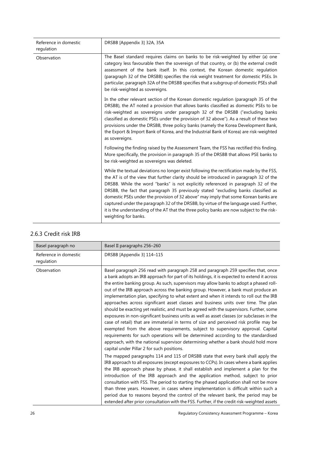| Reference in domestic<br>regulation | DRSBB [Appendix 3] 32A, 35A                                                                                                                                                                                                                                                                                                                                                                                                                                                                                                                                                                                                                                           |
|-------------------------------------|-----------------------------------------------------------------------------------------------------------------------------------------------------------------------------------------------------------------------------------------------------------------------------------------------------------------------------------------------------------------------------------------------------------------------------------------------------------------------------------------------------------------------------------------------------------------------------------------------------------------------------------------------------------------------|
| Observation                         | The Basel standard requires claims on banks to be risk-weighted by either (a) one<br>category less favourable then the sovereign of that country, or (b) the external credit<br>assessment of the bank itself. In this context, the Korean domestic regulation<br>(paragraph 32 of the DRSBB) specifies the risk weight treatment for domestic PSEs. In<br>particular, paragraph 32A of the DRSBB specifies that a subgroup of domestic PSEs shall<br>be risk-weighted as sovereigns.                                                                                                                                                                                 |
|                                     | In the other relevant section of the Korean domestic regulation (paragraph 35 of the<br>DRSBB), the AT noted a provision that allows banks classified as domestic PSEs to be<br>risk-weighted as sovereigns under paragraph 32 of the DRSBB ("excluding banks<br>classified as domestic PSEs under the provision of 32 above"). As a result of these two<br>provisions under the DRSBB, three policy banks (namely the Korea Development Bank,<br>the Export & Import Bank of Korea, and the Industrial Bank of Korea) are risk-weighted<br>as sovereigns.                                                                                                            |
|                                     | Following the finding raised by the Assessment Team, the FSS has rectified this finding.<br>More specifically, the provision in paragraph 35 of the DRSBB that allows PSE banks to<br>be risk-weighted as sovereigns was deleted.                                                                                                                                                                                                                                                                                                                                                                                                                                     |
|                                     | While the textual deviations no longer exist following the rectification made by the FSS,<br>the AT is of the view that further clarity should be introduced in paragraph 32 of the<br>DRSBB. While the word "banks" is not explicitly referenced in paragraph 32 of the<br>DRSBB, the fact that paragraph 35 previously stated "excluding banks classified as<br>domestic PSEs under the provision of 32 above" may imply that some Korean banks are<br>captured under the paragraph 32 of the DRSBB, by virtue of the language used. Further,<br>it is the understanding of the AT that the three policy banks are now subject to the risk-<br>weighting for banks. |

#### 2.6.3 Credit risk IRB

| Basel paragraph no                  | Basel II paragraphs 256-260                                                                                                                                                                                                                                                                                                                                                                                                                                                                                                                                                                                                                                                                                                                                                                                                                                                                                                                                                                                                                                                                                                                    |
|-------------------------------------|------------------------------------------------------------------------------------------------------------------------------------------------------------------------------------------------------------------------------------------------------------------------------------------------------------------------------------------------------------------------------------------------------------------------------------------------------------------------------------------------------------------------------------------------------------------------------------------------------------------------------------------------------------------------------------------------------------------------------------------------------------------------------------------------------------------------------------------------------------------------------------------------------------------------------------------------------------------------------------------------------------------------------------------------------------------------------------------------------------------------------------------------|
| Reference in domestic<br>regulation | DRSBB [Appendix 3] 114-115                                                                                                                                                                                                                                                                                                                                                                                                                                                                                                                                                                                                                                                                                                                                                                                                                                                                                                                                                                                                                                                                                                                     |
| Observation                         | Basel paragraph 256 read with paragraph 258 and paragraph 259 specifies that, once<br>a bank adopts an IRB approach for part of its holdings, it is expected to extend it across<br>the entire banking group. As such, supervisors may allow banks to adopt a phased roll-<br>out of the IRB approach across the banking group. However, a bank must produce an<br>implementation plan, specifying to what extent and when it intends to roll out the IRB<br>approaches across significant asset classes and business units over time. The plan<br>should be exacting yet realistic, and must be agreed with the supervisors. Further, some<br>exposures in non-significant business units as well as asset classes (or subclasses in the<br>case of retail) that are immaterial in terms of size and perceived risk profile may be<br>exempted from the above requirements, subject to supervisory approval. Capital<br>requirements for such operations will be determined according to the standardised<br>approach, with the national supervisor determining whether a bank should hold more<br>capital under Pillar 2 for such positions. |
|                                     | The mapped paragraphs 114 and 115 of DRSBB state that every bank shall apply the<br>IRB approach to all exposures (except exposures to CCPs). In cases where a bank applies<br>the IRB approach phase by phase, it shall establish and implement a plan for the<br>introduction of the IRB approach and the application method, subject to prior<br>consultation with FSS. The period to starting the phased application shall not be more<br>than three years. However, in cases where implementation is difficult within such a<br>period due to reasons beyond the control of the relevant bank, the period may be<br>extended after prior consultation with the FSS. Further, if the credit risk-weighted assets                                                                                                                                                                                                                                                                                                                                                                                                                           |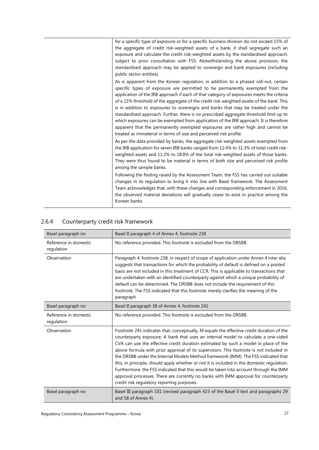| for a specific type of exposure or for a specific business division do not exceed 15% of |
|------------------------------------------------------------------------------------------|
| the aggregate of credit risk-weighted assets of a bank, it shall segregate such an       |
| exposure and calculate the credit risk-weighted assets by the standardised approach,     |
| subject to prior consultation with FSS. Notwithstanding the above provision, the         |
| standardised approach may be applied to sovereign and bank exposures (including          |
| public sector entities).                                                                 |
| As is apparent from the Korean regulation, in addition to a phased roll-out, certain     |
| specific types of exposure are permitted to be permanently exempted from the             |
| application of the IRB approach if each of that category of exposures meets the criteria |
| of a 15% threshold of the aggregate of the credit risk-weighted assets of the bank. This |
| is in addition to exposures to sovereigns and banks that may be treated under the        |
| standardised approach. Further, there is no prescribed aggregate threshold limit up to   |
| which exposures can be exempted from application of the IRB approach. It is therefore    |
| apparent that the permanently exempted exposures are rather high and cannot be           |
| treated as immaterial in terms of size and perceived risk profile.                       |
| As per the data provided by banks, the aggregate risk-weighted assets exempted from      |
| the IRB application for seven IRB banks ranged from 12.4% to 31.3% of total credit risk- |
| weighted assets and 11.2% to 28.8% of the total risk-weighted assets of those banks.     |
| They were thus found to be material in terms of both size and perceived risk profile     |
| among the sample banks.                                                                  |
| Following the finding raised by the Assessment Team, the FSS has carried out suitable    |
| changes in its regulation to bring it into line with Basel framework. The Assessment     |
| Team acknowledges that, with these changes and corresponding enforcement in 2016,        |
| the observed material deviations will gradually cease to exist in practice among the     |
| Korean banks.                                                                            |

| Basel paragraph no                  | Basel II paragraph 4 of Annex 4, footnote 238                                                                                                                                                                                                                                                                                                                                                                                                                                                                                                                                                                                                                                                                                                                                    |  |  |
|-------------------------------------|----------------------------------------------------------------------------------------------------------------------------------------------------------------------------------------------------------------------------------------------------------------------------------------------------------------------------------------------------------------------------------------------------------------------------------------------------------------------------------------------------------------------------------------------------------------------------------------------------------------------------------------------------------------------------------------------------------------------------------------------------------------------------------|--|--|
| Reference in domestic<br>regulation | No reference provided. This footnote is excluded from the DRSBB.                                                                                                                                                                                                                                                                                                                                                                                                                                                                                                                                                                                                                                                                                                                 |  |  |
| Observation                         | Paragraph 4, footnote 238, in respect of scope of application under Annex 4 inter alia<br>suggests that transactions for which the probability of default is defined on a pooled<br>basis are not included in this treatment of CCR. This is applicable to transactions that<br>are undertaken with an identified counterparty against which a unique probability of<br>default can be determined. The DRSBB does not include the requirement of this<br>footnote. The FSS indicated that this footnote merely clarifies the meaning of the<br>paragraph.                                                                                                                                                                                                                        |  |  |
| Basel paragraph no                  | Basel II paragraph 38 of Annex 4, footnote 241                                                                                                                                                                                                                                                                                                                                                                                                                                                                                                                                                                                                                                                                                                                                   |  |  |
| Reference in domestic<br>regulation | No reference provided. This footnote is excluded from the DRSBB.                                                                                                                                                                                                                                                                                                                                                                                                                                                                                                                                                                                                                                                                                                                 |  |  |
| Observation                         | Footnote 241 indicates that, conceptually, M equals the effective credit duration of the<br>counterparty exposure. A bank that uses an internal model to calculate a one-sided<br>CVA can use the effective credit duration estimated by such a model in place of the<br>above formula with prior approval of its supervisors. This footnote is not included in<br>the DRSBB under the Internal Models Method framework (IMM). The FSS indicated that<br>this, in principle, should apply whether or not it is included in the domestic regulation.<br>Furthermore, the FSS indicated that this would be taken into account through the IMM<br>approval processes. There are currently no banks with IMM approval for counterparty<br>credit risk regulatory reporting purposes. |  |  |
| Basel paragraph no                  | Basel III paragraph 101 (revised paragraph 423 of the Basel II text and paragraphs 29<br>and 58 of Annex 4).                                                                                                                                                                                                                                                                                                                                                                                                                                                                                                                                                                                                                                                                     |  |  |

## <span id="page-30-0"></span>2.6.4 Counterparty credit risk framework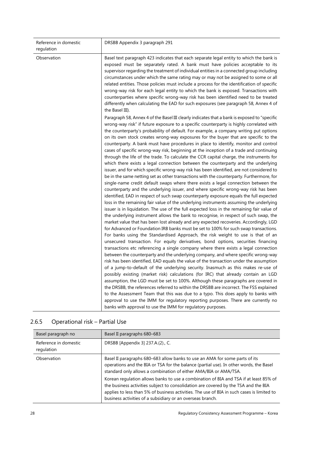| Reference in domestic<br>regulation | DRSBB Appendix 3 paragraph 291                                                                                                                                                                                                                                                                                                                                                                                                                                                                                                                                                                                                                                                                                                                                                                                                                                                                                                                                                                                                                                                                                                                                                                                                                                                                                                                                                                                                                                                                                                                                                                                                                                                                                                                                                                                                                                                                                                                                                                                                                                                                                        |  |
|-------------------------------------|-----------------------------------------------------------------------------------------------------------------------------------------------------------------------------------------------------------------------------------------------------------------------------------------------------------------------------------------------------------------------------------------------------------------------------------------------------------------------------------------------------------------------------------------------------------------------------------------------------------------------------------------------------------------------------------------------------------------------------------------------------------------------------------------------------------------------------------------------------------------------------------------------------------------------------------------------------------------------------------------------------------------------------------------------------------------------------------------------------------------------------------------------------------------------------------------------------------------------------------------------------------------------------------------------------------------------------------------------------------------------------------------------------------------------------------------------------------------------------------------------------------------------------------------------------------------------------------------------------------------------------------------------------------------------------------------------------------------------------------------------------------------------------------------------------------------------------------------------------------------------------------------------------------------------------------------------------------------------------------------------------------------------------------------------------------------------------------------------------------------------|--|
| Observation                         | Basel text paragraph 423 indicates that each separate legal entity to which the bank is<br>exposed must be separately rated. A bank must have policies acceptable to its<br>supervisor regarding the treatment of individual entities in a connected group including<br>circumstances under which the same rating may or may not be assigned to some or all<br>related entities. Those policies must include a process for the identification of specific<br>wrong-way risk for each legal entity to which the bank is exposed. Transactions with<br>counterparties where specific wrong-way risk has been identified need to be treated<br>differently when calculating the EAD for such exposures (see paragraph 58, Annex 4 of<br>the Basel III).                                                                                                                                                                                                                                                                                                                                                                                                                                                                                                                                                                                                                                                                                                                                                                                                                                                                                                                                                                                                                                                                                                                                                                                                                                                                                                                                                                  |  |
|                                     | Paragraph 58, Annex 4 of the Basel III clearly indicates that a bank is exposed to "specific<br>wrong-way risk" if future exposure to a specific counterparty is highly correlated with<br>the counterparty's probability of default. For example, a company writing put options<br>on its own stock creates wrong-way exposures for the buyer that are specific to the<br>counterparty. A bank must have procedures in place to identify, monitor and control<br>cases of specific wrong-way risk, beginning at the inception of a trade and continuing<br>through the life of the trade. To calculate the CCR capital charge, the instruments for<br>which there exists a legal connection between the counterparty and the underlying<br>issuer, and for which specific wrong-way risk has been identified, are not considered to<br>be in the same netting set as other transactions with the counterparty. Furthermore, for<br>single-name credit default swaps where there exists a legal connection between the<br>counterparty and the underlying issuer, and where specific wrong-way risk has been<br>identified, EAD in respect of such swap counterparty exposure equals the full expected<br>loss in the remaining fair value of the underlying instruments assuming the underlying<br>issuer is in liquidation. The use of the full expected loss in the remaining fair value of<br>the underlying instrument allows the bank to recognise, in respect of such swap, the<br>market value that has been lost already and any expected recoveries. Accordingly, LGD<br>for Advanced or Foundation IRB banks must be set to 100% for such swap transactions.<br>For banks using the Standardised Approach, the risk weight to use is that of an<br>unsecured transaction. For equity derivatives, bond options, securities financing<br>transactions etc referencing a single company where there exists a legal connection<br>between the counterparty and the underlying company, and where specific wrong-way<br>risk has been identified, EAD equals the value of the transaction under the assumption |  |
|                                     | of a jump-to-default of the underlying security. Inasmuch as this makes re-use of<br>possibly existing (market risk) calculations (for IRC) that already contain an LGD<br>assumption, the LGD must be set to 100%. Although these paragraphs are covered in<br>the DRSBB, the references referred to within the DRSBB are incorrect. The FSS explained<br>to the Assessment Team that this was due to a typo. This does apply to banks with<br>approval to use the IMM for regulatory reporting purposes. There are currently no<br>banks with approval to use the IMM for regulatory purposes.                                                                                                                                                                                                                                                                                                                                                                                                                                                                                                                                                                                                                                                                                                                                                                                                                                                                                                                                                                                                                                                                                                                                                                                                                                                                                                                                                                                                                                                                                                                      |  |

| Basel paragraph no                  | Basel II paragraphs 680-683                                                                                                                                                                                                                                                                                                              |  |
|-------------------------------------|------------------------------------------------------------------------------------------------------------------------------------------------------------------------------------------------------------------------------------------------------------------------------------------------------------------------------------------|--|
| Reference in domestic<br>regulation | DRSBB [Appendix 3] 237.A.(2)., C.                                                                                                                                                                                                                                                                                                        |  |
| Observation                         | Basel II paragraphs 680-683 allow banks to use an AMA for some parts of its<br>operations and the BIA or TSA for the balance (partial use). In other words, the Basel<br>standard only allows a combination of either AMA/BIA or AMA/TSA.                                                                                                |  |
|                                     | Korean regulation allows banks to use a combination of BIA and TSA if at least 85% of<br>the business activities subject to consolidation are covered by the TSA and the BIA<br>applies to less than 5% of business activities. The use of BIA in such cases is limited to<br>business activities of a subsidiary or an overseas branch. |  |

## <span id="page-31-0"></span>2.6.5 Operational risk – Partial Use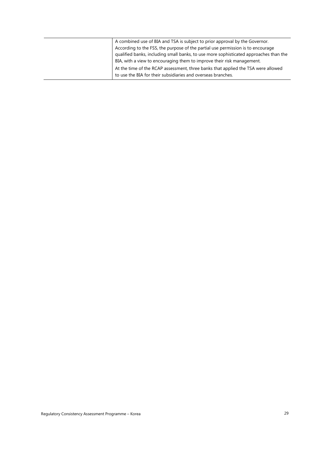| A combined use of BIA and TSA is subject to prior approval by the Governor.           |
|---------------------------------------------------------------------------------------|
| According to the FSS, the purpose of the partial use permission is to encourage       |
| qualified banks, including small banks, to use more sophisticated approaches than the |
| BIA, with a view to encouraging them to improve their risk management.                |
| At the time of the RCAP assessment, three banks that applied the TSA were allowed     |
| to use the BIA for their subsidiaries and overseas branches.                          |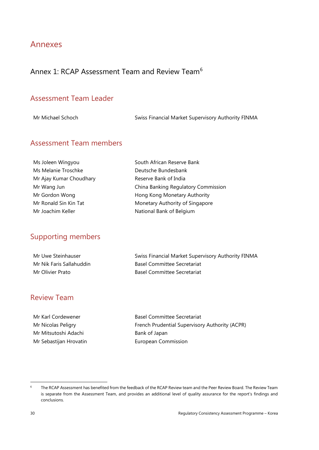## <span id="page-33-0"></span>Annexes

## <span id="page-33-1"></span>Annex 1: RCAP Assessment Team and Review Team<sup>[6](#page-33-2)</sup>

### Assessment Team Leader

Mr Michael Schoch Swiss Financial Market Supervisory Authority FINMA

### Assessment Team members

| Ms Joleen Wingyou       | South African Reserve Bank          |  |
|-------------------------|-------------------------------------|--|
| Ms Melanie Troschke     | Deutsche Bundesbank                 |  |
| Mr Ajay Kumar Choudhary | Reserve Bank of India               |  |
| Mr Wang Jun             | China Banking Regulatory Commission |  |
| Mr Gordon Wong          | Hong Kong Monetary Authority        |  |
| Mr Ronald Sin Kin Tat   | Monetary Authority of Singapore     |  |
| Mr Joachim Keller       | National Bank of Belgium            |  |
|                         |                                     |  |

## Supporting members

| Mr Uwe Steinhauser       | Swiss Financial Market Supervisory Authority FINMA |
|--------------------------|----------------------------------------------------|
| Mr Nik Faris Sallahuddin | Basel Committee Secretariat                        |
| Mr Olivier Prato         | <b>Basel Committee Secretariat</b>                 |

## Review Team

Mr Karl Cordewener **Basel Committee Secretariat** Mr Nicolas Peligry **French Prudential Supervisory Authority (ACPR)** Mr Mitsutoshi Adachi Bank of Japan Mr Sebastijan Hrovatin **European Commission** 

<span id="page-33-2"></span><sup>&</sup>lt;sup>6</sup> The RCAP Assessment has benefited from the feedback of the RCAP Review team and the Peer Review Board. The Review Team is separate from the Assessment Team, and provides an additional level of quality assurance for the report's findings and conclusions.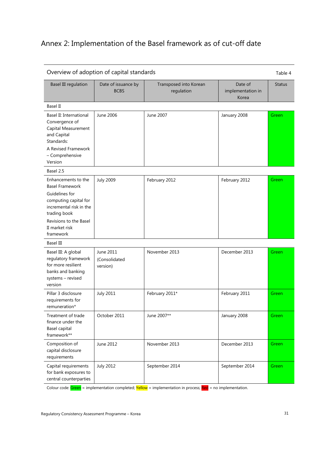## <span id="page-34-0"></span>Annex 2: Implementation of the Basel framework as of cut-off date

| Overview of adoption of capital standards                                                                                                                                                    |                                        |                                      | Table 4                               |               |
|----------------------------------------------------------------------------------------------------------------------------------------------------------------------------------------------|----------------------------------------|--------------------------------------|---------------------------------------|---------------|
| <b>Basel III regulation</b>                                                                                                                                                                  | Date of issuance by<br><b>BCBS</b>     | Transposed into Korean<br>regulation | Date of<br>implementation in<br>Korea | <b>Status</b> |
| Basel II                                                                                                                                                                                     |                                        |                                      |                                       |               |
| Basel II: International<br>Convergence of<br>Capital Measurement<br>and Capital<br>Standards:<br>A Revised Framework<br>- Comprehensive<br>Version                                           | June 2006                              | June 2007                            | January 2008                          | Green         |
| Basel 2.5                                                                                                                                                                                    |                                        |                                      |                                       |               |
| Enhancements to the<br><b>Basel Framework</b><br>Guidelines for<br>computing capital for<br>incremental risk in the<br>trading book<br>Revisions to the Basel<br>II market risk<br>framework | <b>July 2009</b>                       | February 2012                        | February 2012                         | Green         |
| Basel III                                                                                                                                                                                    |                                        |                                      |                                       |               |
| Basel III: A global<br>regulatory framework<br>for more resilient<br>banks and banking<br>systems - revised<br>version                                                                       | June 2011<br>(Consolidated<br>version) | November 2013                        | December 2013                         | Green         |
| Pillar 3 disclosure<br>requirements for<br>remuneration*                                                                                                                                     | <b>July 2011</b>                       | February 2011*                       | February 2011                         | Green         |
| Treatment of trade<br>finance under the<br>Basel capital<br>framework**                                                                                                                      | October 2011                           | June 2007**                          | January 2008                          | Green         |
| Composition of<br>capital disclosure<br>requirements                                                                                                                                         | June 2012                              | November 2013                        | December 2013                         | Green         |
| Capital requirements<br>for bank exposures to<br>central counterparties                                                                                                                      | <b>July 2012</b>                       | September 2014                       | September 2014                        | Green         |

Colour code: Green = implementation completed; Yellow = implementation in process; Red = no implementation.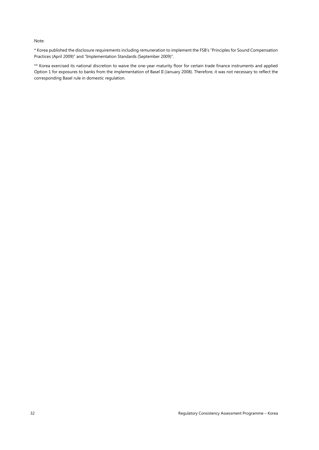#### Note:

\* Korea published the disclosure requirements including remuneration to implement the FSB's "Principles for Sound Compensation Practices (April 2009)" and "Implementation Standards (September 2009)".

\*\* Korea exercised its national discretion to waive the one-year maturity floor for certain trade finance instruments and applied Option 1 for exposures to banks from the implementation of Basel II (January 2008). Therefore, it was not necessary to reflect the corresponding Basel rule in domestic regulation.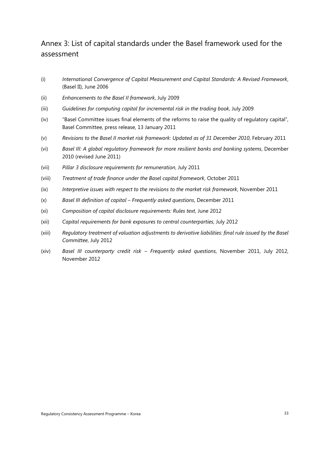## <span id="page-36-0"></span>Annex 3: List of capital standards under the Basel framework used for the assessment

- (i) *International Convergence of Capital Measurement and Capital Standards: A Revised Framework*, (Basel II), June 2006
- (ii) *Enhancements to the Basel II framework*, July 2009
- (iii) *Guidelines for computing capital for incremental risk in the trading book*, July 2009
- (iv) "Basel Committee issues final elements of the reforms to raise the quality of regulatory capital", Basel Committee, press release, 13 January 2011
- (v) *Revisions to the Basel II market risk framework: Updated as of 31 December 2010*, February 2011
- (vi) *Basel III: A global regulatory framework for more resilient banks and banking systems*, December 2010 (revised June 2011)
- (vii) *Pillar 3 disclosure requirements for remuneration*, July 2011
- (viii) *Treatment of trade finance under the Basel capital framework*, October 2011
- (ix) *Interpretive issues with respect to the revisions to the market risk framework*, November 2011
- (x) *Basel III definition of capital – Frequently asked questions*, December 2011
- (xi) *Composition of capital disclosure requirements: Rules text*, June 2012
- (xii) *Capital requirements for bank exposures to central counterparties*, July 2012
- (xiii) *Regulatory treatment of valuation adjustments to derivative liabilities: final rule issued by the Basel Committee*, July 2012
- (xiv) *Basel III counterparty credit risk – Frequently asked questions*, November 2011, July 2012, November 2012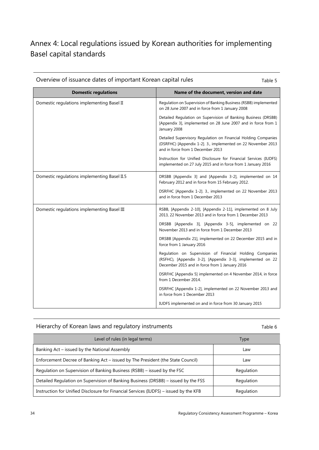## <span id="page-37-0"></span>Annex 4: Local regulations issued by Korean authorities for implementing Basel capital standards

| Overview of issuance dates of important Korean capital rules<br>Table 5 |                                                                                                                                                                          |  |
|-------------------------------------------------------------------------|--------------------------------------------------------------------------------------------------------------------------------------------------------------------------|--|
| <b>Domestic regulations</b>                                             | Name of the document, version and date                                                                                                                                   |  |
| Domestic regulations implementing Basel II                              | Regulation on Supervision of Banking Business (RSBB) implemented<br>on 28 June 2007 and in force from 1 January 2008                                                     |  |
|                                                                         | Detailed Regulation on Supervision of Banking Business (DRSBB)<br>[Appendix 3], implemented on 28 June 2007 and in force from 1<br>January 2008                          |  |
|                                                                         | Detailed Supervisory Regulation on Financial Holding Companies<br>(DSRFHC) [Appendix 1-2]. 3., implemented on 22 November 2013<br>and in force from 1 December 2013      |  |
|                                                                         | Instruction for Unified Disclosure for Financial Services (IUDFS)<br>implemented on 27 July 2015 and in force from 1 January 2016                                        |  |
| Domestic regulations implementing Basel II.5                            | DRSBB [Appendix 3] and [Appendix 3-2], implemented on 14<br>February 2012 and in force from 15 February 2012.                                                            |  |
|                                                                         | DSRFHC [Appendix 1-2]. 3., implemented on 22 November 2013<br>and in force from 1 December 2013                                                                          |  |
| Domestic regulations implementing Basel III                             | RSBB, [Appendix 2-10], [Appendix 2-11], implemented on 8 July<br>2013, 22 November 2013 and in force from 1 December 2013                                                |  |
|                                                                         | DRSBB [Appendix 3], [Appendix 3-5], implemented on 22<br>November 2013 and in force from 1 December 2013                                                                 |  |
|                                                                         | DRSBB [Appendix 21], implemented on 22 December 2015 and in<br>force from 1 January 2016                                                                                 |  |
|                                                                         | Regulation on Supervision of Financial Holding Companies<br>(RSFHC), [Appendix 3-2], [Appendix 3-3], implemented on 22<br>December 2015 and in force from 1 January 2016 |  |
|                                                                         | DSRFHC [Appendix 5] implemented on 4 November 2014, in force<br>from 1 December 2014.                                                                                    |  |
|                                                                         | DSRFHC [Appendix 1-2], implemented on 22 November 2013 and<br>in force from 1 December 2013                                                                              |  |
|                                                                         | IUDFS implemented on and in force from 30 January 2015                                                                                                                   |  |

#### Hierarchy of Korean laws and regulatory instruments Table 6

| Level of rules (in legal terms)                                                       | Type       |
|---------------------------------------------------------------------------------------|------------|
| Banking Act – issued by the National Assembly                                         | Law        |
| Enforcement Decree of Banking Act - issued by The President (the State Council)       | Law        |
| Regulation on Supervision of Banking Business (RSBB) – issued by the FSC              | Regulation |
| Detailed Regulation on Supervision of Banking Business (DRSBB) – issued by the FSS    | Regulation |
| Instruction for Unified Disclosure for Financial Services (IUDFS) – issued by the KFB | Regulation |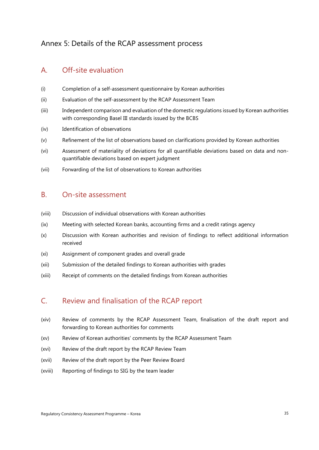## <span id="page-38-0"></span>Annex 5: Details of the RCAP assessment process

### A. Off-site evaluation

- (i) Completion of a self-assessment questionnaire by Korean authorities
- (ii) Evaluation of the self-assessment by the RCAP Assessment Team
- (iii) Independent comparison and evaluation of the domestic regulations issued by Korean authorities with corresponding Basel III standards issued by the BCBS
- (iv) Identification of observations
- (v) Refinement of the list of observations based on clarifications provided by Korean authorities
- (vi) Assessment of materiality of deviations for all quantifiable deviations based on data and nonquantifiable deviations based on expert judgment
- (vii) Forwarding of the list of observations to Korean authorities

### B. On-site assessment

- (viii) Discussion of individual observations with Korean authorities
- (ix) Meeting with selected Korean banks, accounting firms and a credit ratings agency
- (x) Discussion with Korean authorities and revision of findings to reflect additional information received
- (xi) Assignment of component grades and overall grade
- (xii) Submission of the detailed findings to Korean authorities with grades
- (xiii) Receipt of comments on the detailed findings from Korean authorities

#### C. Review and finalisation of the RCAP report

- (xiv) Review of comments by the RCAP Assessment Team, finalisation of the draft report and forwarding to Korean authorities for comments
- (xv) Review of Korean authorities' comments by the RCAP Assessment Team
- (xvi) Review of the draft report by the RCAP Review Team
- (xvii) Review of the draft report by the Peer Review Board
- (xviii) Reporting of findings to SIG by the team leader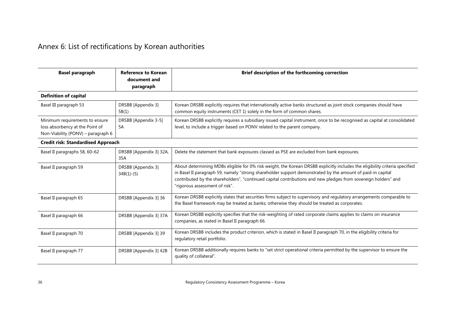## Annex 6: List of rectifications by Korean authorities

<span id="page-39-0"></span>

| <b>Basel paragraph</b>                                                                                  | <b>Reference to Korean</b><br>document and<br>paragraph | Brief description of the forthcoming correction                                                                                                                                                                                                                                                                                                                                               |
|---------------------------------------------------------------------------------------------------------|---------------------------------------------------------|-----------------------------------------------------------------------------------------------------------------------------------------------------------------------------------------------------------------------------------------------------------------------------------------------------------------------------------------------------------------------------------------------|
| <b>Definition of capital</b>                                                                            |                                                         |                                                                                                                                                                                                                                                                                                                                                                                               |
| Basel III paragraph 53                                                                                  | DRSBB [Appendix 3]<br>5B(1)                             | Korean DRSBB explicitly requires that internationally active banks structured as joint stock companies should have<br>common equity instruments (CET 1) solely in the form of common shares.                                                                                                                                                                                                  |
| Minimum requirements to ensure<br>loss absorbency at the Point of<br>Non-Viability (PONV) - paragraph 6 | DRSBB [Appendix 3-5]<br>5A                              | Korean DRSBB explicitly requires a subsidiary issued capital instrument, once to be recognised as capital at consolidated<br>level, to include a trigger based on PONV related to the parent company.                                                                                                                                                                                         |
| <b>Credit risk: Standardised Approach</b>                                                               |                                                         |                                                                                                                                                                                                                                                                                                                                                                                               |
| Basel II paragraphs 58, 60-62                                                                           | DRSBB [Appendix 3] 32A,<br>35A                          | Delete the statement that bank exposures classed as PSE are excluded from bank exposures.                                                                                                                                                                                                                                                                                                     |
| Basel II paragraph 59                                                                                   | DRSBB [Appendix 3]<br>$34B(1)-(5)$                      | About determining MDBs eligible for 0% risk weight, the Korean DRSBB explicitly includes the eligibility criteria specified<br>in Basel II paragraph 59, namely "strong shareholder support demonstrated by the amount of paid-in capital<br>contributed by the shareholders", "continued capital contributions and new pledges from sovereign holders" and<br>"rigorous assessment of risk". |
| Basel II paragraph 65                                                                                   | DRSBB [Appendix 3] 36                                   | Korean DRSBB explicitly states that securities firms subject to supervisory and regulatory arrangements comparable to<br>the Basel framework may be treated as banks; otherwise they should be treated as corporates.                                                                                                                                                                         |
| Basel II paragraph 66                                                                                   | DRSBB [Appendix 3] 37A                                  | Korean DRSBB explicitly specifies that the risk-weighting of rated corporate claims applies to claims on insurance<br>companies, as stated in Basel II paragraph 66.                                                                                                                                                                                                                          |
| Basel II paragraph 70                                                                                   | DRSBB [Appendix 3] 39                                   | Korean DRSBB includes the product criterion, which is stated in Basel II paragraph 70, in the eligibility criteria for<br>regulatory retail portfolio.                                                                                                                                                                                                                                        |
| Basel II paragraph 77                                                                                   | DRSBB [Appendix 3] 42B                                  | Korean DRSBB additionally requires banks to "set strict operational criteria permitted by the supervisor to ensure the<br>quality of collateral".                                                                                                                                                                                                                                             |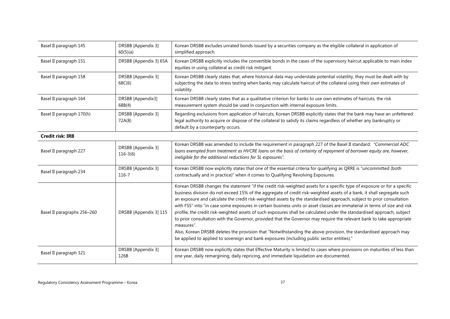| Basel II paragraph 145      | DRSBB [Appendix 3]<br>60(5)(a)   | Korean DRSBB excludes unrated bonds issued by a securities company as the eligible collateral in application of<br>simplified approach.                                                                                                                                                                                                                                                                                                                                                                                                                                                                                                                                                                                                                                                                                                                                                                                                                                                        |  |
|-----------------------------|----------------------------------|------------------------------------------------------------------------------------------------------------------------------------------------------------------------------------------------------------------------------------------------------------------------------------------------------------------------------------------------------------------------------------------------------------------------------------------------------------------------------------------------------------------------------------------------------------------------------------------------------------------------------------------------------------------------------------------------------------------------------------------------------------------------------------------------------------------------------------------------------------------------------------------------------------------------------------------------------------------------------------------------|--|
| Basel II paragraph 151      | DRSBB [Appendix 3] 65A           | Korean DRSBB explicitly includes the convertible bonds in the cases of the supervisory haircut applicable to main index<br>equities in using collateral as credit risk mitigant.                                                                                                                                                                                                                                                                                                                                                                                                                                                                                                                                                                                                                                                                                                                                                                                                               |  |
| Basel II paragraph 158      | DRSBB [Appendix 3]<br>68C(6)     | Korean DRSBB clearly states that, where historical data may understate potential volatility, they must be dealt with by<br>subjecting the data to stress testing when banks may calculate haircut of the collateral using their own estimates of<br>volatility.                                                                                                                                                                                                                                                                                                                                                                                                                                                                                                                                                                                                                                                                                                                                |  |
| Basel II paragraph 164      | DRSBB [Appendix3]<br>68B(4)      | Korean DRSBB clearly states that as a qualitative criterion for banks to use own estimates of haircuts, the risk<br>measurement system should be used in conjunction with internal exposure limits.                                                                                                                                                                                                                                                                                                                                                                                                                                                                                                                                                                                                                                                                                                                                                                                            |  |
| Basel II paragraph 170(h)   | DRSBB [Appendix 3]<br>72A(8)     | Regarding exclusions from application of haircuts, Korean DRSBB explicitly states that the bank may have an unfettered<br>legal authority to acquire or dispose of the collateral to satisfy its claims regardless of whether any bankruptcy or<br>default by a counterparty occurs.                                                                                                                                                                                                                                                                                                                                                                                                                                                                                                                                                                                                                                                                                                           |  |
| <b>Credit risk: IRB</b>     |                                  |                                                                                                                                                                                                                                                                                                                                                                                                                                                                                                                                                                                                                                                                                                                                                                                                                                                                                                                                                                                                |  |
| Basel II paragraph 227      | DRSBB [Appendix 3]<br>$116-3(6)$ | Korean DRSBB was amended to include the requirement in paragraph 227 of the Basel II standard: "Commercial ADC<br>loans exempted from treatment as HVCRE loans on the basis of certainty of repayment of borrower equity are, however,<br>ineligible for the additional reductions for SL exposures".                                                                                                                                                                                                                                                                                                                                                                                                                                                                                                                                                                                                                                                                                          |  |
| Basel II paragraph 234      | DRSBB [Appendix 3]<br>116-7      | Korean DRSBB now explicitly states that one of the essential criteria for qualifying as QRRE is "uncommitted (both<br>contractually and in practice)" when it comes to Qualifying Revolving Exposures.                                                                                                                                                                                                                                                                                                                                                                                                                                                                                                                                                                                                                                                                                                                                                                                         |  |
| Basel II paragraphs 256-260 | DRSBB [Appendix 3] 115           | Korean DRSBB changes the statement "if the credit risk-weighted assets for a specific type of exposure or for a specific<br>business division do not exceed 15% of the aggregate of credit risk-weighted assets of a bank, it shall segregate such<br>an exposure and calculate the credit risk-weighted assets by the standardised approach, subject to prior consultation<br>with FSS" into "in case some exposures in certain business units or asset classes are immaterial in terms of size and risk<br>profile, the credit risk-weighted assets of such exposures shall be calculated under the standardised approach, subject<br>to prior consultation with the Governor, provided that the Governor may require the relevant bank to take appropriate<br>measures".<br>Also, Korean DRSBB deletes the provision that "Notwithstanding the above provision, the standardised approach may<br>be applied to applied to sovereign and bank exposures (including public sector entities)." |  |
| Basel II paragraph 321      | DRSBB [Appendix 3]<br>126B       | Korean DRSBB now explicitly states that Effective Maturity is limited to cases where provisions on maturities of less than<br>one year, daily remargining, daily repricing, and immediate liquidation are documented.                                                                                                                                                                                                                                                                                                                                                                                                                                                                                                                                                                                                                                                                                                                                                                          |  |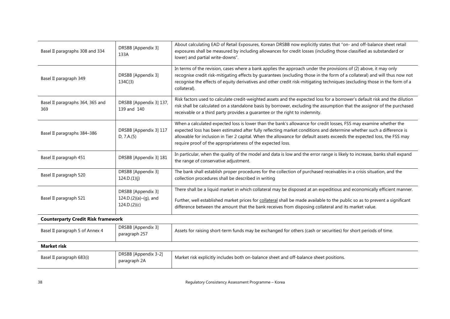| Basel II paragraphs 308 and 334           | DRSBB [Appendix 3]<br>133A                                  | About calculating EAD of Retail Exposures, Korean DRSBB now explicitly states that "on- and off-balance sheet retail<br>exposures shall be measured by including allowances for credit losses (including those classified as substandard or<br>lower) and partial write-downs".                                                                                                                                                    |  |
|-------------------------------------------|-------------------------------------------------------------|------------------------------------------------------------------------------------------------------------------------------------------------------------------------------------------------------------------------------------------------------------------------------------------------------------------------------------------------------------------------------------------------------------------------------------|--|
| Basel II paragraph 349                    | DRSBB [Appendix 3]<br>134C(3)                               | In terms of the revision, cases where a bank applies the approach under the provisions of (2) above, it may only<br>recognise credit risk-mitigating effects by guarantees (excluding those in the form of a collateral) and will thus now not<br>recognise the effects of equity derivatives and other credit risk-mitigating techniques (excluding those in the form of a<br>collateral).                                        |  |
| Basel II paragraphs 364, 365 and<br>369   | DRSBB [Appendix 3] 137,<br>139 and 140                      | Risk factors used to calculate credit-weighted assets and the expected loss for a borrower's default risk and the dilution<br>risk shall be calculated on a standalone basis by borrower, excluding the assumption that the assignor of the purchased<br>receivable or a third party provides a quarantee or the right to indemnity.                                                                                               |  |
| Basel II paragraphs 384-386               | DRSBB [Appendix 3] 117<br>D, 7.A.(5)                        | When a calculated expected loss is lower than the bank's allowance for credit losses, FSS may examine whether the<br>expected loss has been estimated after fully reflecting market conditions and determine whether such a difference is<br>allowable for inclusion in Tier 2 capital. When the allowance for default assets exceeds the expected loss, the FSS may<br>require proof of the appropriateness of the expected loss. |  |
| Basel II paragraph 451                    | DRSBB [Appendix 3] 181                                      | In particular, when the quality of the model and data is low and the error range is likely to increase, banks shall expand<br>the range of conservative adjustment.                                                                                                                                                                                                                                                                |  |
| Basel II paragraph 520                    | DRSBB [Appendix 3]<br>124.D.(1)(j)                          | The bank shall establish proper procedures for the collection of purchased receivables in a crisis situation, and the<br>collection procedures shall be described in writing                                                                                                                                                                                                                                                       |  |
| Basel II paragraph 521                    | DRSBB [Appendix 3]<br>124.D.(2)(a)-(g), and<br>124.D.(2)(c) | There shall be a liquid market in which collateral may be disposed at an expeditious and economically efficient manner.<br>Further, well established market prices for collateral shall be made available to the public so as to prevent a significant<br>difference between the amount that the bank receives from disposing collateral and its market value.                                                                     |  |
| <b>Counterparty Credit Risk framework</b> |                                                             |                                                                                                                                                                                                                                                                                                                                                                                                                                    |  |
| Basel II paragraph 5 of Annex 4           | DRSBB [Appendix 3]<br>paragraph 257                         | Assets for raising short-term funds may be exchanged for others (cash or securities) for short periods of time.                                                                                                                                                                                                                                                                                                                    |  |
| <b>Market risk</b>                        |                                                             |                                                                                                                                                                                                                                                                                                                                                                                                                                    |  |
| Basel II paragraph 683(i)                 | DRSBB [Appendix 3-2]<br>paragraph 2A                        | Market risk explicitly includes both on-balance sheet and off-balance sheet positions.                                                                                                                                                                                                                                                                                                                                             |  |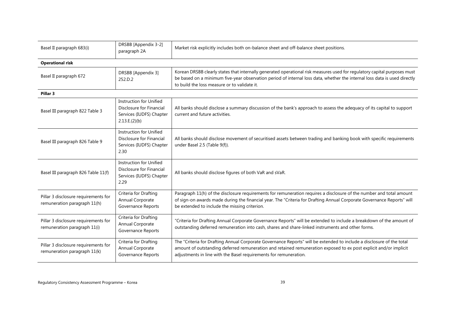| Basel II paragraph 683(i)                                            | DRSBB [Appendix 3-2]<br>paragraph 2A                                                                    | Market risk explicitly includes both on-balance sheet and off-balance sheet positions.                                                                                                                                                                                                                          |  |  |  |
|----------------------------------------------------------------------|---------------------------------------------------------------------------------------------------------|-----------------------------------------------------------------------------------------------------------------------------------------------------------------------------------------------------------------------------------------------------------------------------------------------------------------|--|--|--|
| <b>Operational risk</b>                                              |                                                                                                         |                                                                                                                                                                                                                                                                                                                 |  |  |  |
| Basel II paragraph 672                                               | DRSBB [Appendix 3]<br>252.D.2                                                                           | Korean DRSBB clearly states that internally generated operational risk measures used for regulatory capital purposes must<br>be based on a minimum five-year observation period of internal loss data, whether the internal loss data is used directly<br>to build the loss measure or to validate it.          |  |  |  |
| Pillar 3                                                             |                                                                                                         |                                                                                                                                                                                                                                                                                                                 |  |  |  |
| Basel III paragraph 822 Table 3                                      | <b>Instruction for Unified</b><br>Disclosure for Financial<br>Services (IUDFS) Chapter<br>2.13.E.(2)(b) | All banks should disclose a summary discussion of the bank's approach to assess the adequacy of its capital to support<br>current and future activities.                                                                                                                                                        |  |  |  |
| Basel III paragraph 826 Table 9                                      | <b>Instruction for Unified</b><br>Disclosure for Financial<br>Services (IUDFS) Chapter<br>2.30          | All banks should disclose movement of securitised assets between trading and banking book with specific requirements<br>under Basel 2.5 (Table 9(f)).                                                                                                                                                           |  |  |  |
| Basel III paragraph 826 Table 11(f)                                  | <b>Instruction for Unified</b><br>Disclosure for Financial<br>Services (IUDFS) Chapter<br>2.29          | All banks should disclose figures of both VaR and sVaR.                                                                                                                                                                                                                                                         |  |  |  |
| Pillar 3 disclosure requirements for<br>remuneration paragraph 11(h) | Criteria for Drafting<br>Annual Corporate<br>Governance Reports                                         | Paragraph 11(h) of the disclosure requirements for remuneration requires a disclosure of the number and total amount<br>of sign-on awards made during the financial year. The "Criteria for Drafting Annual Corporate Governance Reports" will<br>be extended to include the missing criterion.                 |  |  |  |
| Pillar 3 disclosure requirements for<br>remuneration paragraph 11(i) | Criteria for Drafting<br>Annual Corporate<br>Governance Reports                                         | "Criteria for Drafting Annual Corporate Governance Reports" will be extended to include a breakdown of the amount of<br>outstanding deferred remuneration into cash, shares and share-linked instruments and other forms.                                                                                       |  |  |  |
| Pillar 3 disclosure requirements for<br>remuneration paragraph 11(k) | Criteria for Drafting<br>Annual Corporate<br>Governance Reports                                         | The "Criteria for Drafting Annual Corporate Governance Reports" will be extended to include a disclosure of the total<br>amount of outstanding deferred remuneration and retained remuneration exposed to ex post explicit and/or implicit<br>adjustments in line with the Basel requirements for remuneration. |  |  |  |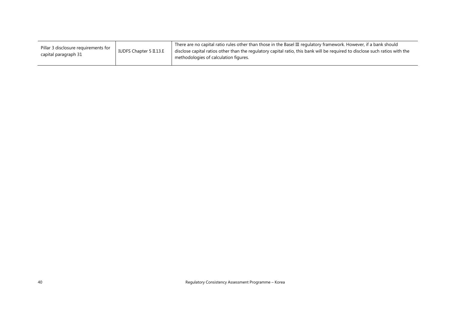| Pillar 3 disclosure requirements for<br>capital paragraph 31 | IUDFS Chapter 5 II.13.E | There are no capital ratio rules other than those in the Basel III regulatory framework. However, if a bank should<br>disclose capital ratios other than the regulatory capital ratio, this bank will be reguired to disclose such ratios with the<br>methodologies of calculation figures. |
|--------------------------------------------------------------|-------------------------|---------------------------------------------------------------------------------------------------------------------------------------------------------------------------------------------------------------------------------------------------------------------------------------------|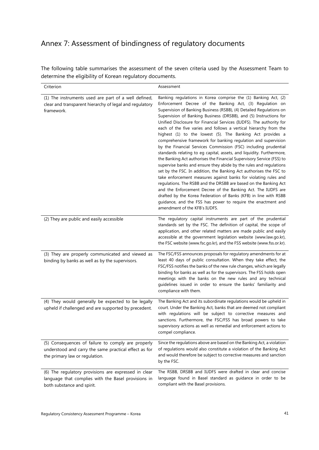## <span id="page-44-0"></span>Annex 7: Assessment of bindingness of regulatory documents

The following table summarises the assessment of the seven criteria used by the Assessment Team to determine the eligibility of Korean regulatory documents.

| Criterion                                                                                                                                     | Assessment                                                                                                                                                                                                                                                                                                                                                                                                                                                                                                                                                                                                                                                                                                                                                                                                                                                                                                                                                                                                                                                                                                                                                                                                                                                                                      |  |
|-----------------------------------------------------------------------------------------------------------------------------------------------|-------------------------------------------------------------------------------------------------------------------------------------------------------------------------------------------------------------------------------------------------------------------------------------------------------------------------------------------------------------------------------------------------------------------------------------------------------------------------------------------------------------------------------------------------------------------------------------------------------------------------------------------------------------------------------------------------------------------------------------------------------------------------------------------------------------------------------------------------------------------------------------------------------------------------------------------------------------------------------------------------------------------------------------------------------------------------------------------------------------------------------------------------------------------------------------------------------------------------------------------------------------------------------------------------|--|
| (1) The instruments used are part of a well defined,<br>clear and transparent hierarchy of legal and regulatory<br>framework.                 | Banking regulations in Korea comprise the (1) Banking Act, (2)<br>Enforcement Decree of the Banking Act, (3) Regulation on<br>Supervision of Banking Business (RSBB), (4) Detailed Regulations on<br>Supervision of Banking Business (DRSBB), and (5) Instructions for<br>Unified Disclosure for Financial Services (IUDFS). The authority for<br>each of the five varies and follows a vertical hierarchy from the<br>highest (1) to the lowest (5). The Banking Act provides a<br>comprehensive framework for banking regulation and supervision<br>by the Financial Services Commission (FSC) including prudential<br>standards relating to eg capital, assets, and liquidity. Furthermore,<br>the Banking Act authorises the Financial Supervisory Service (FSS) to<br>supervise banks and ensure they abide by the rules and regulations<br>set by the FSC. In addition, the Banking Act authorises the FSC to<br>take enforcement measures against banks for violating rules and<br>regulations. The RSBB and the DRSBB are based on the Banking Act<br>and the Enforcement Decree of the Banking Act. The IUDFS are<br>drafted by the Korea Federation of Banks (KFB) in line with RSBB<br>guidance, and the FSS has power to require the enactment and<br>amendment of the KFB's IUDFS. |  |
| (2) They are public and easily accessible                                                                                                     | The regulatory capital instruments are part of the prudential<br>standards set by the FSC. The definition of capital, the scope of<br>application, and other related matters are made public and easily<br>accessible at the government legislation website (www.law.go.kr),<br>the FSC website (www.fsc.go.kr), and the FSS website (www.fss.or.kr).                                                                                                                                                                                                                                                                                                                                                                                                                                                                                                                                                                                                                                                                                                                                                                                                                                                                                                                                           |  |
| (3) They are properly communicated and viewed as<br>binding by banks as well as by the supervisors.                                           | The FSC/FSS announces proposals for regulatory amendments for at<br>least 40 days of public consultation. When they take effect, the<br>FSC/FSS notifies the banks of the new rule changes, which are legally<br>binding for banks as well as for the supervisors. The FSS holds open<br>meetings with the banks on the new rules and any technical<br>guidelines issued in order to ensure the banks' familiarity and<br>compliance with them.                                                                                                                                                                                                                                                                                                                                                                                                                                                                                                                                                                                                                                                                                                                                                                                                                                                 |  |
| (4) They would generally be expected to be legally<br>upheld if challenged and are supported by precedent.                                    | The Banking Act and its subordinate regulations would be upheld in<br>court. Under the Banking Act, banks that are deemed not compliant<br>with regulations will be subject to corrective measures and<br>sanctions. Furthermore, the FSC/FSS has broad powers to take<br>supervisory actions as well as remedial and enforcement actions to<br>compel compliance.                                                                                                                                                                                                                                                                                                                                                                                                                                                                                                                                                                                                                                                                                                                                                                                                                                                                                                                              |  |
| (5) Consequences of failure to comply are properly<br>understood and carry the same practical effect as for<br>the primary law or regulation. | Since the regulations above are based on the Banking Act, a violation<br>of regulations would also constitute a violation of the Banking Act<br>and would therefore be subject to corrective measures and sanction<br>by the FSC.                                                                                                                                                                                                                                                                                                                                                                                                                                                                                                                                                                                                                                                                                                                                                                                                                                                                                                                                                                                                                                                               |  |
| (6) The regulatory provisions are expressed in clear<br>language that complies with the Basel provisions in<br>both substance and spirit.     | The RSBB, DRSBB and IUDFS were drafted in clear and concise<br>language found in Basel standard as guidance in order to be<br>compliant with the Basel provisions.                                                                                                                                                                                                                                                                                                                                                                                                                                                                                                                                                                                                                                                                                                                                                                                                                                                                                                                                                                                                                                                                                                                              |  |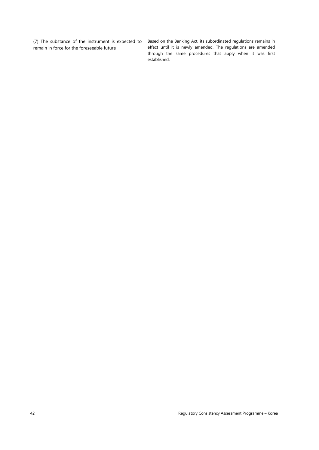(7) The substance of the instrument is expected to remain in force for the foreseeable future

Based on the Banking Act, its subordinated regulations remains in effect until it is newly amended. The regulations are amended through the same procedures that apply when it was first established.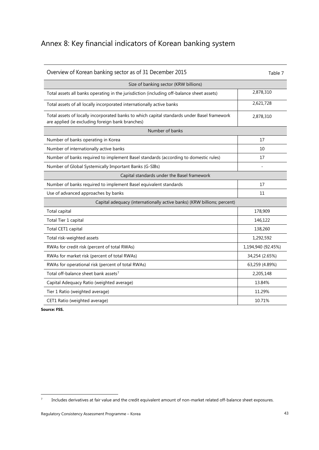## <span id="page-46-0"></span>Annex 8: Key financial indicators of Korean banking system

| Overview of Korean banking sector as of 31 December 2015                                                                                        | Table 7            |  |
|-------------------------------------------------------------------------------------------------------------------------------------------------|--------------------|--|
| Size of banking sector (KRW billions)                                                                                                           |                    |  |
| Total assets all banks operating in the jurisdiction (including off-balance sheet assets)                                                       | 2,878,310          |  |
| Total assets of all locally incorporated internationally active banks                                                                           | 2,621,728          |  |
| Total assets of locally incorporated banks to which capital standards under Basel framework<br>are applied (ie excluding foreign bank branches) | 2,878,310          |  |
| Number of banks                                                                                                                                 |                    |  |
| Number of banks operating in Korea                                                                                                              | 17                 |  |
| Number of internationally active banks                                                                                                          | 10                 |  |
| Number of banks required to implement Basel standards (according to domestic rules)                                                             | 17                 |  |
| Number of Global Systemically Important Banks (G-SIBs)                                                                                          |                    |  |
| Capital standards under the Basel framework                                                                                                     |                    |  |
| Number of banks required to implement Basel equivalent standards                                                                                | 17                 |  |
| Use of advanced approaches by banks                                                                                                             | 11                 |  |
| Capital adequacy (internationally active banks) (KRW billions; percent)                                                                         |                    |  |
| Total capital                                                                                                                                   | 178,909            |  |
| Total Tier 1 capital                                                                                                                            | 146,122            |  |
| Total CET1 capital                                                                                                                              | 138,260            |  |
| Total risk-weighted assets                                                                                                                      | 1,292,592          |  |
| RWAs for credit risk (percent of total RWAs)                                                                                                    | 1,194,940 (92.45%) |  |
| RWAs for market risk (percent of total RWAs)                                                                                                    | 34,254 (2.65%)     |  |
| RWAs for operational risk (percent of total RWAs)                                                                                               | 63,259 (4.89%)     |  |
| Total off-balance sheet bank assets <sup>7</sup>                                                                                                | 2,205,148          |  |
| Capital Adequacy Ratio (weighted average)                                                                                                       | 13.84%             |  |
| Tier 1 Ratio (weighted average)                                                                                                                 | 11.29%             |  |
| CET1 Ratio (weighted average)                                                                                                                   | 10.71%             |  |

**Source: FSS.**

<span id="page-46-1"></span> $7$  Includes derivatives at fair value and the credit equivalent amount of non-market related off-balance sheet exposures.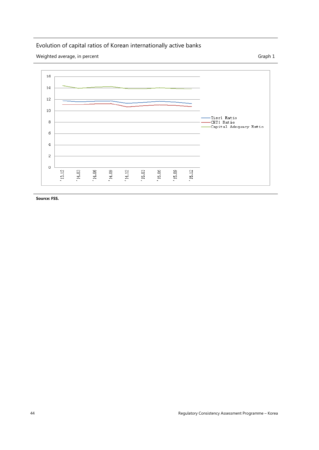## Evolution of capital ratios of Korean internationally active banks

Weighted average, in percent Graph 1



**Source: FSS.**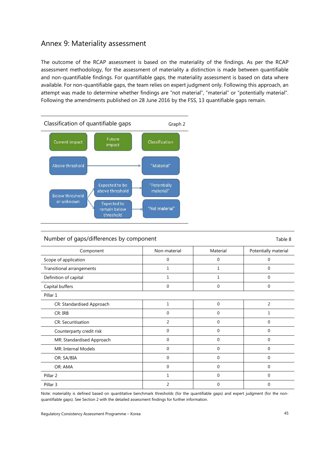### <span id="page-48-0"></span>Annex 9: Materiality assessment

The outcome of the RCAP assessment is based on the materiality of the findings. As per the RCAP assessment methodology, for the assessment of materiality a distinction is made between quantifiable and non-quantifiable findings. For quantifiable gaps, the materiality assessment is based on data where available. For non-quantifiable gaps, the team relies on expert judgment only. Following this approach, an attempt was made to determine whether findings are "not material", "material" or "potentially material". Following the amendments published on 28 June 2016 by the FSS, 13 quantifiable gaps remain.



#### Number of gaps/differences by component Table 8

| Component                 | Non-material | Material | Potentially material |
|---------------------------|--------------|----------|----------------------|
| Scope of application      | 0            | 0        | 0                    |
| Transitional arrangements | 1            | 1        | 0                    |
| Definition of capital     |              | 1        | 0                    |
| Capital buffers           | 0            | 0        | 0                    |
| Pillar 1                  |              |          |                      |
| CR: Standardised Approach | $\mathbf{1}$ | 0        | 2                    |
| CR: IRB                   | $\Omega$     | 0        |                      |
| <b>CR: Securitisation</b> | 2            | 0        | $\Omega$             |
| Counterparty credit risk  | $\Omega$     | 0        | 0                    |
| MR: Standardised Approach | $\mathbf 0$  | 0        | 0                    |
| MR: Internal Models       | $\Omega$     | 0        | $\Omega$             |
| OR: SA/BIA                | $\mathbf 0$  | 0        | 0                    |
| OR: AMA                   | $\Omega$     | 0        | $\Omega$             |
| Pillar <sub>2</sub>       | 1            | 0        | $\Omega$             |
| Pillar 3                  | 2            | 0        | 0                    |

Note: materiality is defined based on quantitative benchmark thresholds (for the quantifiable gaps) and expert judgment (for the nonquantifiable gaps). See Section 2 with the detailed assessment findings for further information.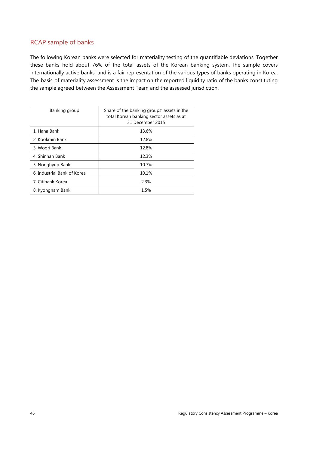#### RCAP sample of banks

The following Korean banks were selected for materiality testing of the quantifiable deviations. Together these banks hold about 76% of the total assets of the Korean banking system. The sample covers internationally active banks, and is a fair representation of the various types of banks operating in Korea. The basis of materiality assessment is the impact on the reported liquidity ratio of the banks constituting the sample agreed between the Assessment Team and the assessed jurisdiction.

| Banking group               | Share of the banking groups' assets in the<br>total Korean banking sector assets as at<br>31 December 2015 |
|-----------------------------|------------------------------------------------------------------------------------------------------------|
| 1. Hana Bank                | 13.6%                                                                                                      |
| 2. Kookmin Bank             | 12.8%                                                                                                      |
| 3. Woori Bank               | 12.8%                                                                                                      |
| 4. Shinhan Bank             | 12.3%                                                                                                      |
| 5. Nonghyup Bank            | 10.7%                                                                                                      |
| 6. Industrial Bank of Korea | 10.1%                                                                                                      |
| 7. Citibank Korea           | 2.3%                                                                                                       |
| 8. Kyongnam Bank            | 1.5%                                                                                                       |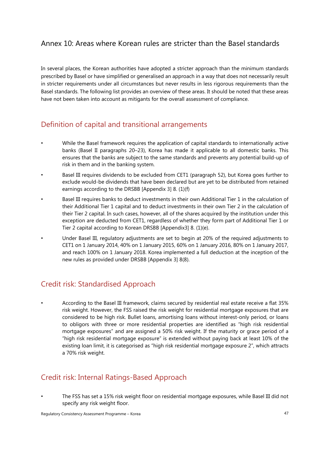## <span id="page-50-0"></span>Annex 10: Areas where Korean rules are stricter than the Basel standards

In several places, the Korean authorities have adopted a stricter approach than the minimum standards prescribed by Basel or have simplified or generalised an approach in a way that does not necessarily result in stricter requirements under all circumstances but never results in less rigorous requirements than the Basel standards. The following list provides an overview of these areas. It should be noted that these areas have not been taken into account as mitigants for the overall assessment of compliance.

## Definition of capital and transitional arrangements

- While the Basel framework requires the application of capital standards to internationally active banks (Basel II paragraphs 20–23), Korea has made it applicable to all domestic banks. This ensures that the banks are subject to the same standards and prevents any potential build-up of risk in them and in the banking system.
- Basel III requires dividends to be excluded from CET1 (paragraph 52), but Korea goes further to exclude would-be dividends that have been declared but are yet to be distributed from retained earnings according to the DRSBB [Appendix 3] 8. (1)(f)
- Basel III requires banks to deduct investments in their own Additional Tier 1 in the calculation of their Additional Tier 1 capital and to deduct investments in their own Tier 2 in the calculation of their Tier 2 capital. In such cases, however, all of the shares acquired by the institution under this exception are deducted from CET1, regardless of whether they form part of Additional Tier 1 or Tier 2 capital according to Korean DRSBB [Appendix3] 8. (1)(e).
- Under Basel III, regulatory adjustments are set to begin at 20% of the required adjustments to CET1 on 1 January 2014, 40% on 1 January 2015, 60% on 1 January 2016, 80% on 1 January 2017, and reach 100% on 1 January 2018. Korea implemented a full deduction at the inception of the new rules as provided under DRSBB [Appendix 3] 8(8).

## Credit risk: Standardised Approach

• According to the Basel III framework, claims secured by residential real estate receive a flat 35% risk weight. However, the FSS raised the risk weight for residential mortgage exposures that are considered to be high risk. Bullet loans, amortising loans without interest-only period, or loans to obligors with three or more residential properties are identified as "high risk residential mortgage exposures" and are assigned a 50% risk weight. If the maturity or grace period of a "high risk residential mortgage exposure" is extended without paying back at least 10% of the existing loan limit, it is categorised as "high risk residential mortgage exposure 2", which attracts a 70% risk weight.

## Credit risk: Internal Ratings-Based Approach

• The FSS has set a 15% risk weight floor on residential mortgage exposures, while Basel III did not specify any risk weight floor.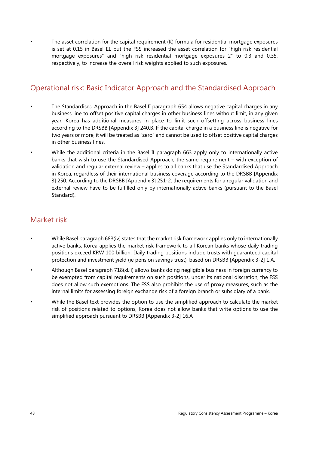The asset correlation for the capital requirement (K) formula for residential mortgage exposures is set at 0.15 in Basel III, but the FSS increased the asset correlation for "high risk residential mortgage exposures" and "high risk residential mortgage exposures 2" to 0.3 and 0.35, respectively, to increase the overall risk weights applied to such exposures.

## Operational risk: Basic Indicator Approach and the Standardised Approach

- The Standardised Approach in the Basel II paragraph 654 allows negative capital charges in any business line to offset positive capital charges in other business lines without limit, in any given year; Korea has additional measures in place to limit such offsetting across business lines according to the DRSBB [Appendix 3] 240.B. If the capital charge in a business line is negative for two years or more, it will be treated as "zero" and cannot be used to offset positive capital charges in other business lines.
- While the additional criteria in the Basel II paragraph 663 apply only to internationally active banks that wish to use the Standardised Approach, the same requirement – with exception of validation and regular external review – applies to all banks that use the Standardised Approach in Korea, regardless of their international business coverage according to the DRSBB [Appendix 3] 250. According to the DRSBB [Appendix 3] 251-2, the requirements for a regular validation and external review have to be fulfilled only by internationally active banks (pursuant to the Basel Standard).

## Market risk

- While Basel paragraph 683(iv) states that the market risk framework applies only to internationally active banks, Korea applies the market risk framework to all Korean banks whose daily trading positions exceed KRW 100 billion. Daily trading positions include trusts with guaranteed capital protection and investment yield (ie pension savings trust), based on DRSBB [Appendix 3-2] 1.A.
- Although Basel paragraph 718(xLii) allows banks doing negligible business in foreign currency to be exempted from capital requirements on such positions, under its national discretion, the FSS does not allow such exemptions. The FSS also prohibits the use of proxy measures, such as the internal limits for assessing foreign exchange risk of a foreign branch or subsidiary of a bank.
- While the Basel text provides the option to use the simplified approach to calculate the market risk of positions related to options, Korea does not allow banks that write options to use the simplified approach pursuant to DRSBB [Appendix 3-2] 16.A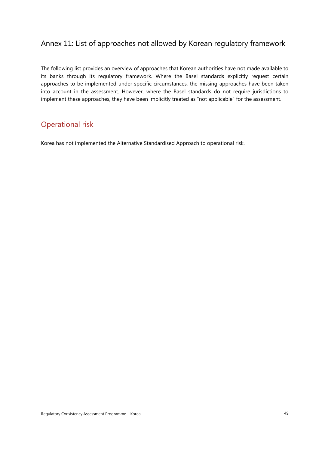## <span id="page-52-0"></span>Annex 11: List of approaches not allowed by Korean regulatory framework

The following list provides an overview of approaches that Korean authorities have not made available to its banks through its regulatory framework. Where the Basel standards explicitly request certain approaches to be implemented under specific circumstances, the missing approaches have been taken into account in the assessment. However, where the Basel standards do not require jurisdictions to implement these approaches, they have been implicitly treated as "not applicable" for the assessment.

### Operational risk

Korea has not implemented the Alternative Standardised Approach to operational risk.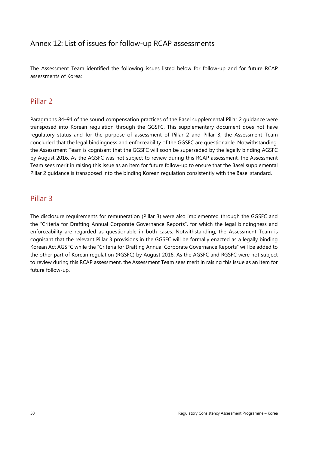## <span id="page-53-0"></span>Annex 12: List of issues for follow-up RCAP assessments

The Assessment Team identified the following issues listed below for follow-up and for future RCAP assessments of Korea:

### Pillar 2

Paragraphs 84–94 of the sound compensation practices of the Basel supplemental Pillar 2 guidance were transposed into Korean regulation through the GGSFC. This supplementary document does not have regulatory status and for the purpose of assessment of Pillar 2 and Pillar 3, the Assessment Team concluded that the legal bindingness and enforceability of the GGSFC are questionable. Notwithstanding, the Assessment Team is cognisant that the GGSFC will soon be superseded by the legally binding AGSFC by August 2016. As the AGSFC was not subject to review during this RCAP assessment, the Assessment Team sees merit in raising this issue as an item for future follow-up to ensure that the Basel supplemental Pillar 2 guidance is transposed into the binding Korean regulation consistently with the Basel standard.

### Pillar 3

The disclosure requirements for remuneration (Pillar 3) were also implemented through the GGSFC and the "Criteria for Drafting Annual Corporate Governance Reports", for which the legal bindingness and enforceability are regarded as questionable in both cases. Notwithstanding, the Assessment Team is cognisant that the relevant Pillar 3 provisions in the GGSFC will be formally enacted as a legally binding Korean Act AGSFC while the "Criteria for Drafting Annual Corporate Governance Reports" will be added to the other part of Korean regulation (RGSFC) by August 2016. As the AGSFC and RGSFC were not subject to review during this RCAP assessment, the Assessment Team sees merit in raising this issue as an item for future follow-up.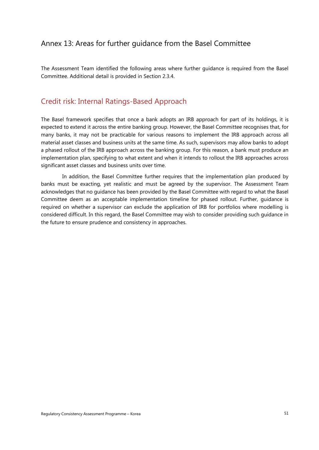## <span id="page-54-0"></span>Annex 13: Areas for further guidance from the Basel Committee

The Assessment Team identified the following areas where further guidance is required from the Basel Committee. Additional detail is provided in Section 2.3.4.

## Credit risk: Internal Ratings-Based Approach

The Basel framework specifies that once a bank adopts an IRB approach for part of its holdings, it is expected to extend it across the entire banking group. However, the Basel Committee recognises that, for many banks, it may not be practicable for various reasons to implement the IRB approach across all material asset classes and business units at the same time. As such, supervisors may allow banks to adopt a phased rollout of the IRB approach across the banking group. For this reason, a bank must produce an implementation plan, specifying to what extent and when it intends to rollout the IRB approaches across significant asset classes and business units over time.

In addition, the Basel Committee further requires that the implementation plan produced by banks must be exacting, yet realistic and must be agreed by the supervisor. The Assessment Team acknowledges that no guidance has been provided by the Basel Committee with regard to what the Basel Committee deem as an acceptable implementation timeline for phased rollout. Further, guidance is required on whether a supervisor can exclude the application of IRB for portfolios where modelling is considered difficult. In this regard, the Basel Committee may wish to consider providing such guidance in the future to ensure prudence and consistency in approaches.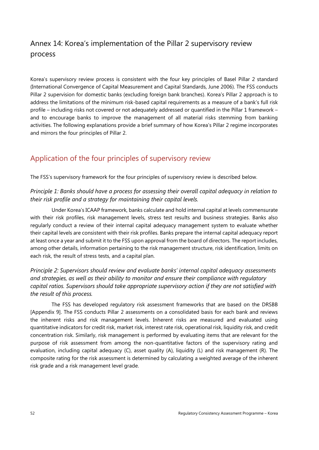## <span id="page-55-0"></span>Annex 14: Korea's implementation of the Pillar 2 supervisory review process

Korea's supervisory review process is consistent with the four key principles of Basel Pillar 2 standard (International Convergence of Capital Measurement and Capital Standards, June 2006). The FSS conducts Pillar 2 supervision for domestic banks (excluding foreign bank branches). Korea's Pillar 2 approach is to address the limitations of the minimum risk-based capital requirements as a measure of a bank's full risk profile – including risks not covered or not adequately addressed or quantified in the Pillar 1 framework – and to encourage banks to improve the management of all material risks stemming from banking activities. The following explanations provide a brief summary of how Korea's Pillar 2 regime incorporates and mirrors the four principles of Pillar 2.

## Application of the four principles of supervisory review

The FSS's supervisory framework for the four principles of supervisory review is described below.

#### *Principle 1: Banks should have a process for assessing their overall capital adequacy in relation to their risk profile and a strategy for maintaining their capital levels.*

Under Korea's ICAAP framework, banks calculate and hold internal capital at levels commensurate with their risk profiles, risk management levels, stress test results and business strategies. Banks also regularly conduct a review of their internal capital adequacy management system to evaluate whether their capital levels are consistent with their risk profiles. Banks prepare the internal capital adequacy report at least once a year and submit it to the FSS upon approval from the board of directors. The report includes, among other details, information pertaining to the risk management structure, risk identification, limits on each risk, the result of stress tests, and a capital plan.

*Principle 2: Supervisors should review and evaluate banks' internal capital adequacy assessments and strategies, as well as their ability to monitor and ensure their compliance with regulatory capital ratios. Supervisors should take appropriate supervisory action if they are not satisfied with the result of this process.*

The FSS has developed regulatory risk assessment frameworks that are based on the DRSBB [Appendix 9]. The FSS conducts Pillar 2 assessments on a consolidated basis for each bank and reviews the inherent risks and risk management levels. Inherent risks are measured and evaluated using quantitative indicators for credit risk, market risk, interest rate risk, operational risk, liquidity risk, and credit concentration risk. Similarly, risk management is performed by evaluating items that are relevant for the purpose of risk assessment from among the non-quantitative factors of the supervisory rating and evaluation, including capital adequacy (C), asset quality (A), liquidity (L) and risk management (R). The composite rating for the risk assessment is determined by calculating a weighted average of the inherent risk grade and a risk management level grade.